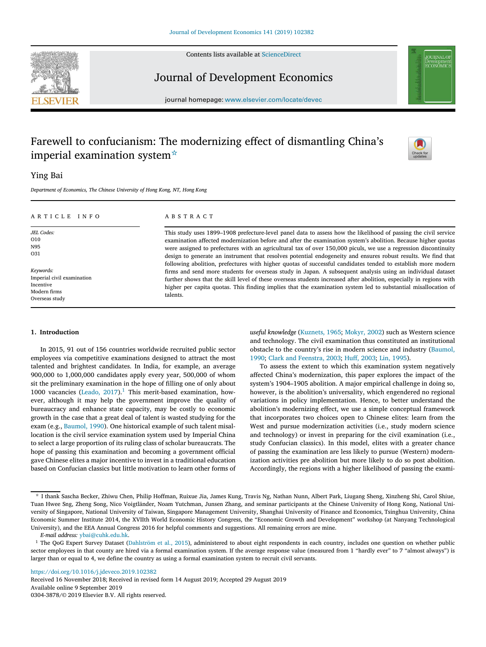

# Journal of Development Economics



journal homepage: www.elsevier.com/locate/devec

# Farewell to confucianism: The modernizing effect of dismantling China's imperial examination system☆



# Ying Bai

*Department of Economics, The Chinese University of Hong Kong, NT, Hong Kong*

#### ARTICLE INFO *JEL Codes:* O10 N95 O31 *Keywords:* Imperial civil examination Incentive Modern firms Overseas study ABSTRACT This study uses 1899–1908 prefecture-level panel data to assess how the likelihood of passing the civil service examination affected modernization before and after the examination system's abolition. Because higher quotas were assigned to prefectures with an agricultural tax of over 150,000 piculs, we use a regression discontinuity design to generate an instrument that resolves potential endogeneity and ensures robust results. We find that following abolition, prefectures with higher quotas of successful candidates tended to establish more modern firms and send more students for overseas study in Japan. A subsequent analysis using an individual dataset further shows that the skill level of these overseas students increased after abolition, especially in regions with higher per capita quotas. This finding implies that the examination system led to substantial misallocation of talents.

### **1. Introduction**

In 2015, 91 out of 156 countries worldwide recruited public sector employees via competitive examinations designed to attract the most talented and brightest candidates. In India, for example, an average 900,000 to 1,000,000 candidates apply every year, 500,000 of whom sit the preliminary examination in the hope of filling one of only about 1000 vacancies (Leado,  $2017$ ).<sup>1</sup> This merit-based examination, however, although it may help the government improve the quality of bureaucracy and enhance state capacity, may be costly to economic growth in the case that a great deal of talent is wasted studying for the exam (e.g., Baumol, 1990). One historical example of such talent misallocation is the civil service examination system used by Imperial China to select a large proportion of its ruling class of scholar bureaucrats. The hope of passing this examination and becoming a government official gave Chinese elites a major incentive to invest in a traditional education based on Confucian classics but little motivation to learn other forms of *useful knowledge* (Kuznets, 1965; Mokyr, 2002) such as Western science and technology. The civil examination thus constituted an institutional obstacle to the country's rise in modern science and industry (Baumol, 1990; Clark and Feenstra, 2003; Huff, 2003; Lin, 1995).

To assess the extent to which this examination system negatively affected China's modernization, this paper explores the impact of the system's 1904–1905 abolition. A major empirical challenge in doing so, however, is the abolition's universality, which engendered no regional variations in policy implementation. Hence, to better understand the abolition's modernizing effect, we use a simple conceptual framework that incorporates two choices open to Chinese elites: learn from the West and pursue modernization activities (i.e., study modern science and technology) or invest in preparing for the civil examination (i.e., study Confucian classics). In this model, elites with a greater chance of passing the examination are less likely to pursue (Western) modernization activities pre abolition but more likely to do so post abolition. Accordingly, the regions with a higher likelihood of passing the exami-

https://doi.org/10.1016/j.jdeveco.2019.102382

Received 16 November 2018; Received in revised form 14 August 2019; Accepted 29 August 2019 Available online 9 September 2019 0304-3878/© 2019 Elsevier B.V. All rights reserved.

<sup>☆</sup> I thank Sascha Becker, Zhiwu Chen, Philip Hoffman, Ruixue Jia, James Kung, Travis Ng, Nathan Nunn, Albert Park, Liugang Sheng, Xinzheng Shi, Carol Shiue, Tuan Hwee Sng, Zheng Song, Nico Voigtländer, Noam Yutchman, Junsen Zhang, and seminar participants at the Chinese University of Hong Kong, National University of Singapore, National University of Taiwan, Singapore Management University, Shanghai University of Finance and Economics, Tsinghua University, China Economic Summer Institute 2014, the XVIIth World Economic History Congress, the "Economic Growth and Development" workshop (at Nanyang Technological University), and the EEA Annual Congress 2016 for helpful comments and suggestions. All remaining errors are mine.

*E-mail address:* ybai@cuhk.edu.hk.

<sup>&</sup>lt;sup>1</sup> The QoG Expert Survey Dataset (Dahlström et al., 2015), administered to about eight respondents in each country, includes one question on whether public sector employees in that county are hired via a formal examination system. If the average response value (measured from 1 "hardly ever" to 7 "almost always") is larger than or equal to 4, we define the country as using a formal examination system to recruit civil servants.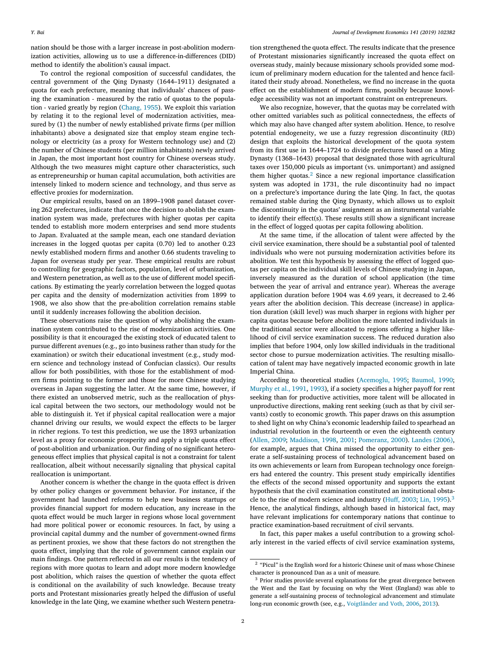nation should be those with a larger increase in post-abolition modernization activities, allowing us to use a difference-in-differences (DID) method to identify the abolition's causal impact.

To control the regional composition of successful candidates, the central government of the Qing Dynasty (1644–1911) designated a quota for each prefecture, meaning that individuals' chances of passing the examination - measured by the ratio of quotas to the population - varied greatly by region (Chang, 1955). We exploit this variation by relating it to the regional level of modernization activities, measured by (1) the number of newly established private firms (per million inhabitants) above a designated size that employ steam engine technology or electricity (as a proxy for Western technology use) and (2) the number of Chinese students (per million inhabitants) newly arrived in Japan, the most important host country for Chinese overseas study. Although the two measures might capture other characteristics, such as entrepreneurship or human capital accumulation, both activities are intensely linked to modern science and technology, and thus serve as effective proxies for modernization.

Our empirical results, based on an 1899–1908 panel dataset covering 262 prefectures, indicate that once the decision to abolish the examination system was made, prefectures with higher quotas per capita tended to establish more modern enterprises and send more students to Japan. Evaluated at the sample mean, each one standard deviation increases in the logged quotas per capita (0.70) led to another 0.23 newly established modern firms and another 0.66 students traveling to Japan for overseas study per year. These empirical results are robust to controlling for geographic factors, population, level of urbanization, and Western penetration, as well as to the use of different model specifications. By estimating the yearly correlation between the logged quotas per capita and the density of modernization activities from 1899 to 1908, we also show that the pre-abolition correlation remains stable until it suddenly increases following the abolition decision.

These observations raise the question of why abolishing the examination system contributed to the rise of modernization activities. One possibility is that it encouraged the existing stock of educated talent to pursue different avenues (e.g., go into business rather than study for the examination) or switch their educational investment (e.g., study modern science and technology instead of Confucian classics). Our results allow for both possibilities, with those for the establishment of modern firms pointing to the former and those for more Chinese studying overseas in Japan suggesting the latter. At the same time, however, if there existed an unobserved metric, such as the reallocation of physical capital between the two sectors, our methodology would not be able to distinguish it. Yet if physical capital reallocation were a major channel driving our results, we would expect the effects to be larger in richer regions. To test this prediction, we use the 1893 urbanization level as a proxy for economic prosperity and apply a triple quota effect of post-abolition and urbanization. Our finding of no significant heterogeneous effect implies that physical capital is not a constraint for talent reallocation, albeit without necessarily signaling that physical capital reallocation is unimportant.

Another concern is whether the change in the quota effect is driven by other policy changes or government behavior. For instance, if the government had launched reforms to help new business startups or provides financial support for modern education, any increase in the quota effect would be much larger in regions whose local government had more political power or economic resources. In fact, by using a provincial capital dummy and the number of government-owned firms as pertinent proxies, we show that these factors do not strengthen the quota effect, implying that the role of government cannot explain our main findings. One pattern reflected in all our results is the tendency of regions with more quotas to learn and adopt more modern knowledge post abolition, which raises the question of whether the quota effect is conditional on the availability of such knowledge. Because treaty ports and Protestant missionaries greatly helped the diffusion of useful knowledge in the late Qing, we examine whether such Western penetration strengthened the quota effect. The results indicate that the presence of Protestant missionaries significantly increased the quota effect on overseas study, mainly because missionary schools provided some modicum of preliminary modern education for the talented and hence facilitated their study abroad. Nonetheless, we find no increase in the quota effect on the establishment of modern firms, possibly because knowledge accessibility was not an important constraint on entrepreneurs.

We also recognize, however, that the quotas may be correlated with other omitted variables such as political connectedness, the effects of which may also have changed after system abolition. Hence, to resolve potential endogeneity, we use a fuzzy regression discontinuity (RD) design that exploits the historical development of the quota system from its first use in 1644–1724 to divide prefectures based on a Ming Dynasty (1368–1643) proposal that designated those with agricultural taxes over 150,000 piculs as important (vs. unimportant) and assigned them higher quotas.<sup>2</sup> Since a new regional importance classification system was adopted in 1731, the rule discontinuity had no impact on a prefecture's importance during the late Qing. In fact, the quotas remained stable during the Qing Dynasty, which allows us to exploit the discontinuity in the quotas' assignment as an instrumental variable to identify their effect(s). These results still show a significant increase in the effect of logged quotas per capita following abolition.

At the same time, if the allocation of talent were affected by the civil service examination, there should be a substantial pool of talented individuals who were not pursuing modernization activities before its abolition. We test this hypothesis by assessing the effect of logged quotas per capita on the individual skill levels of Chinese studying in Japan, inversely measured as the duration of school application (the time between the year of arrival and entrance year). Whereas the average application duration before 1904 was 4.69 years, it decreased to 2.46 years after the abolition decision. This decrease (increase) in application duration (skill level) was much sharper in regions with higher per capita quotas because before abolition the more talented individuals in the traditional sector were allocated to regions offering a higher likelihood of civil service examination success. The reduced duration also implies that before 1904, only low skilled individuals in the traditional sector chose to pursue modernization activities. The resulting misallocation of talent may have negatively impacted economic growth in late Imperial China.

According to theoretical studies (Acemoglu, 1995; Baumol, 1990; Murphy et al., 1991, 1993), if a society specifies a higher payoff for rent seeking than for productive activities, more talent will be allocated in unproductive directions, making rent seeking (such as that by civil servants) costly to economic growth. This paper draws on this assumption to shed light on why China's economic leadership failed to spearhead an industrial revolution in the fourteenth or even the eighteenth century (Allen, 2009; Maddison, 1998, 2001; Pomeranz, 2000). Landes (2006), for example, argues that China missed the opportunity to either generate a self-sustaining process of technological advancement based on its own achievements or learn from European technology once foreigners had entered the country. This present study empirically identifies the effects of the second missed opportunity and supports the extant hypothesis that the civil examination constituted an institutional obstacle to the rise of modern science and industry (Huff, 2003; Lin, 1995).<sup>3</sup> Hence, the analytical findings, although based in historical fact, may have relevant implications for contemporary nations that continue to practice examination-based recruitment of civil servants.

In fact, this paper makes a useful contribution to a growing scholarly interest in the varied effects of civil service examination systems,

<sup>&</sup>lt;sup>2</sup> "Picul" is the English word for a historic Chinese unit of mass whose Chinese character is pronounced Dan as a unit of measure.

<sup>&</sup>lt;sup>3</sup> Prior studies provide several explanations for the great divergence between the West and the East by focusing on why the West (England) was able to generate a self-sustaining process of technological advancement and stimulate long-run economic growth (see, e.g., Voigtländer and Voth, 2006, 2013).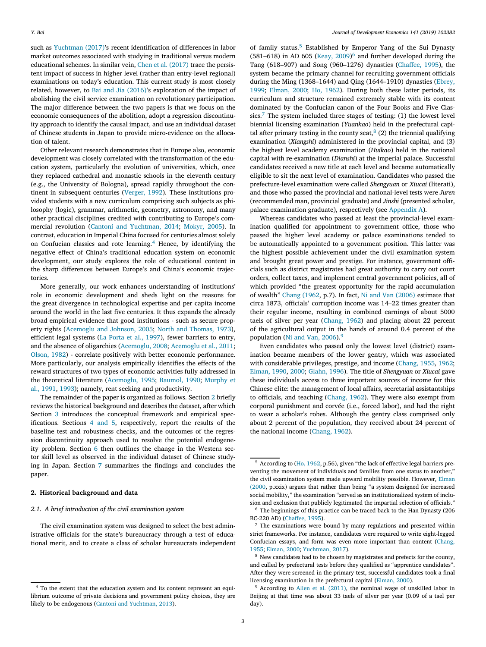such as Yuchtman (2017)'s recent identification of differences in labor market outcomes associated with studying in traditional versus modern educational schemes. In similar vein, Chen et al. (2017) trace the persistent impact of success in higher level (rather than entry-level regional) examinations on today's education. This current study is most closely related, however, to Bai and Jia (2016)'s exploration of the impact of abolishing the civil service examination on revolutionary participation. The major difference between the two papers is that we focus on the economic consequences of the abolition, adopt a regression discontinuity approach to identify the causal impact, and use an individual dataset of Chinese students in Japan to provide micro-evidence on the allocation of talent.

Other relevant research demonstrates that in Europe also, economic development was closely correlated with the transformation of the education system, particularly the evolution of universities, which, once they replaced cathedral and monastic schools in the eleventh century (e.g., the University of Bologna), spread rapidly throughout the continent in subsequent centuries (Verger, 1992). These institutions provided students with a new curriculum comprising such subjects as philosophy (logic), grammar, arithmetic, geometry, astronomy, and many other practical disciplines credited with contributing to Europe's commercial revolution (Cantoni and Yuchtman, 2014; Mokyr, 2005). In contrast, education in Imperial China focused for centuries almost solely on Confucian classics and rote learning.<sup>4</sup> Hence, by identifying the negative effect of China's traditional education system on economic development, our study explores the role of educational content in the sharp differences between Europe's and China's economic trajectories.

More generally, our work enhances understanding of institutions' role in economic development and sheds light on the reasons for the great divergence in technological expertise and per capita income around the world in the last five centuries. It thus expands the already broad empirical evidence that good institutions - such as secure property rights (Acemoglu and Johnson, 2005; North and Thomas, 1973), efficient legal systems (La Porta et al., 1997), fewer barriers to entry, and the absence of oligarchies (Acemoglu, 2008; Acemoglu et al., 2011; Olson, 1982) - correlate positively with better economic performance. More particularly, our analysis empirically identifies the effects of the reward structures of two types of economic activities fully addressed in the theoretical literature (Acemoglu, 1995; Baumol, 1990; Murphy et al., 1991, 1993); namely, rent seeking and productivity.

The remainder of the paper is organized as follows. Section 2 briefly reviews the historical background and describes the dataset, after which Section 3 introduces the conceptual framework and empirical specifications. Sections 4 and 5, respectively, report the results of the baseline test and robustness checks, and the outcomes of the regression discontinuity approach used to resolve the potential endogeneity problem. Section 6 then outlines the change in the Western sector skill level as observed in the individual dataset of Chinese studying in Japan. Section 7 summarizes the findings and concludes the paper.

#### **2. Historical background and data**

## *2.1. A brief introduction of the civil examination system*

The civil examination system was designed to select the best administrative officials for the state's bureaucracy through a test of educational merit, and to create a class of scholar bureaucrats independent of family status.<sup>5</sup> Established by Emperor Yang of the Sui Dynasty (581–618) in AD 605 (Keay, 2009) <sup>6</sup> and further developed during the Tang (618–907) and Song (960–1276) dynasties (Chaffee, 1995), the system became the primary channel for recruiting government officials during the Ming (1368–1644) and Qing (1644–1910) dynasties (Ebrey, 1999; Elman, 2000; Ho, 1962). During both these latter periods, its curriculum and structure remained extremely stable with its content dominated by the Confucian canon of the Four Books and Five Classics.<sup>7</sup> The system included three stages of testing: (1) the lowest level biennial licensing examination (*Yuankao*) held in the prefectural capital after primary testing in the county seat,  $8(2)$  the triennial qualifying examination (*Xiangshi*) administered in the provincial capital, and (3) the highest level academy examination (*Huikao*) held in the national capital with re-examination (*Dianshi*) at the imperial palace. Successful candidates received a new title at each level and became automatically eligible to sit the next level of examination. Candidates who passed the prefecture-level examination were called *Shengyuan* or *Xiucai* (literati), and those who passed the provincial and national-level tests were *Juren* (recommended man, provincial graduate) and *Jinshi* (presented scholar, palace examination graduate), respectively (see Appendix A).

Whereas candidates who passed at least the provincial-level examination qualified for appointment to government office, those who passed the higher level academy or palace examinations tended to be automatically appointed to a government position. This latter was the highest possible achievement under the civil examination system and brought great power and prestige. For instance, government officials such as district magistrates had great authority to carry out court orders, collect taxes, and implement central government policies, all of which provided "the greatest opportunity for the rapid accumulation of wealth" Chang (1962, p.7). In fact, Ni and Van (2006) estimate that circa 1873, officials' corruption income was 14–22 times greater than their regular income, resulting in combined earnings of about 5000 taels of silver per year (Chang, 1962) and placing about 22 percent of the agricultural output in the hands of around 0.4 percent of the population (Ni and Van, 2006).<sup>9</sup>

Even candidates who passed only the lowest level (district) examination became members of the lower gentry, which was associated with considerable privileges, prestige, and income (Chang, 1955, 1962; Elman, 1990, 2000; Glahn, 1996). The title of *Shengyuan* or *Xiucai* gave these individuals access to three important sources of income for this Chinese elite: the management of local affairs, secretarial assistantships to officials, and teaching (Chang, 1962). They were also exempt from corporal punishment and corvée (i.e., forced labor), and had the right to wear a scholar's robes. Although the gentry class comprised only about 2 percent of the population, they received about 24 percent of the national income (Chang, 1962).

<sup>4</sup> To the extent that the education system and its content represent an equilibrium outcome of private decisions and government policy choices, they are likely to be endogenous (Cantoni and Yuchtman, 2013).

<sup>&</sup>lt;sup>5</sup> According to (Ho, 1962, p.56), given "the lack of effective legal barriers preventing the movement of individuals and families from one status to another," the civil examination system made upward mobility possible. However, Elman (2000, p.xxix) argues that rather than being "a system designed for increased social mobility," the examination "served as an institutionalized system of inclusion and exclusion that publicly legitimated the impartial selection of officials."

<sup>6</sup> The beginnings of this practice can be traced back to the Han Dynasty (206 BC-220 AD) (Chaffee, 1995).

<sup>7</sup> The examinations were bound by many regulations and presented within strict frameworks. For instance, candidates were required to write eight-legged Confucian essays, and form was even more important than content (Chang, 1955; Elman, 2000; Yuchtman, 2017).

<sup>8</sup> New candidates had to be chosen by magistrates and prefects for the county, and culled by prefectural tests before they qualified as "apprentice candidates". After they were screened in the primary test, successful candidates took a final licensing examination in the prefectural capital (Elman, 2000).

<sup>9</sup> According to Allen et al. (2011), the nominal wage of unskilled labor in Beijing at that time was about 33 taels of silver per year (0.09 of a tael per day).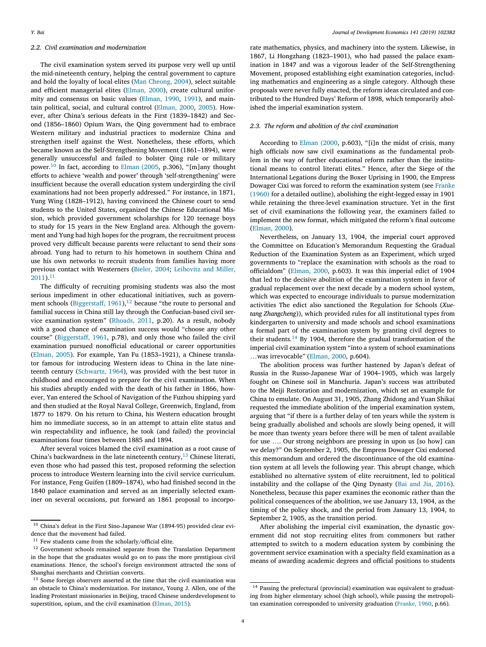# *2.2. Civil examination and modernization*

The civil examination system served its purpose very well up until the mid-nineteenth century, helping the central government to capture and hold the loyalty of local elites (Man Cheong, 2004), select suitable and efficient managerial elites (Elman, 2000), create cultural uniformity and consensus on basic values (Elman, 1990, 1991), and maintain political, social, and cultural control (Elman, 2000, 2005). However, after China's serious defeats in the First (1839–1842) and Second (1856–1860) Opium Wars, the Qing government had to embrace Western military and industrial practices to modernize China and strengthen itself against the West. Nonetheless, these efforts, which became known as the Self-Strengthening Movement (1861–1894), were generally unsuccessful and failed to bolster Qing rule or military power.<sup>10</sup> In fact, according to Elman (2005, p.306), "[m]any thought efforts to achieve 'wealth and power' through 'self-strengthening' were insufficient because the overall education system undergirding the civil examinations had not been properly addressed." For instance, in 1871, Yung Wing (1828–1912), having convinced the Chinese court to send students to the United States, organized the Chinese Educational Mission, which provided government scholarships for 120 teenage boys to study for 15 years in the New England area. Although the government and Yung had high hopes for the program, the recruitment process proved very difficult because parents were reluctant to send their sons abroad. Yung had to return to his hometown in southern China and use his own networks to recruit students from families having more previous contact with Westerners (Bieler, 2004; Leibovitz and Miller,  $2011$ ).<sup>11</sup>

The difficulty of recruiting promising students was also the most serious impediment in other educational initiatives, such as government schools (Biggerstaff, 1961), $12$  because "the route to personal and familial success in China still lay through the Confucian-based civil service examination system" (Rhoads, 2011, p.20). As a result, nobody with a good chance of examination success would "choose any other course" (Biggerstaff, 1961, p.78), and only those who failed the civil examination pursued nonofficial educational or career opportunities (Elman, 2005). For example, Yan Fu (1853–1921), a Chinese translator famous for introducing Western ideas to China in the late nineteenth century (Schwartz, 1964), was provided with the best tutor in childhood and encouraged to prepare for the civil examination. When his studies abruptly ended with the death of his father in 1866, however, Yan entered the School of Navigation of the Fuzhou shipping yard and then studied at the Royal Naval College, Greenwich, England, from 1877 to 1879. On his return to China, his Western education brought him no immediate success, so in an attempt to attain elite status and win respectability and influence, he took (and failed) the provincial examinations four times between 1885 and 1894.

After several voices blamed the civil examination as a root cause of China's backwardness in the late nineteenth century, $13$  Chinese literati, even those who had passed this test, proposed reforming the selection process to introduce Western learning into the civil service curriculum. For instance, Feng Guifen (1809–1874), who had finished second in the 1840 palace examination and served as an imperially selected examiner on several occasions, put forward an 1861 proposal to incorporate mathematics, physics, and machinery into the system. Likewise, in 1867, Li Hongzhang (1823–1901), who had passed the palace examination in 1847 and was a vigorous leader of the Self-Strengthening Movement, proposed establishing eight examination categories, including mathematics and engineering as a single category. Although these proposals were never fully enacted, the reform ideas circulated and contributed to the Hundred Days' Reform of 1898, which temporarily abolished the imperial examination system.

#### *2.3. The reform and abolition of the civil examination*

According to Elman (2000, p.603), "[i]n the midst of crisis, many high officials now saw civil examinations as the fundamental problem in the way of further educational reform rather than the institutional means to control literati elites." Hence, after the Siege of the International Legations during the Boxer Uprising in 1900, the Empress Dowager Cixi was forced to reform the examination system (see Franke (1960) for a detailed outline), abolishing the eight-legged essay in 1901 while retaining the three-level examination structure. Yet in the first set of civil examinations the following year, the examiners failed to implement the new format, which mitigated the reform's final outcome (Elman, 2000).

Nevertheless, on January 13, 1904, the imperial court approved the Committee on Education's Memorandum Requesting the Gradual Reduction of the Examination System as an Experiment, which urged governments to "replace the examination with schools as the road to officialdom" (Elman, 2000, p.603). It was this imperial edict of 1904 that led to the decisive abolition of the examination system in favor of gradual replacement over the next decade by a modern school system, which was expected to encourage individuals to pursue modernization activities The edict also sanctioned the Regulation for Schools (*Xuetang Zhangcheng*)), which provided rules for all institutional types from kindergarten to university and made schools and school examinations a formal part of the examination system by granting civil degrees to their students.<sup>14</sup> By 1904, therefore the gradual transformation of the imperial civil examination system "into a system of school examinations …was irrevocable" (Elman, 2000, p.604).

The abolition process was further hastened by Japan's defeat of Russia in the Russo-Japanese War of 1904–1905, which was largely fought on Chinese soil in Manchuria. Japan's success was attributed to the Meiji Restoration and modernization, which set an example for China to emulate. On August 31, 1905, Zhang Zhidong and Yuan Shikai requested the immediate abolition of the imperial examination system, arguing that "if there is a further delay of ten years while the system is being gradually abolished and schools are slowly being opened, it will be more than twenty years before there will be men of talent available for use …. Our strong neighbors are pressing in upon us [so how] can we delay?" On September 2, 1905, the Empress Dowager Cixi endorsed this memorandum and ordered the discontinuance of the old examination system at all levels the following year. This abrupt change, which established no alternative system of elite recruitment, led to political instability and the collapse of the Qing Dynasty (Bai and Jia, 2016). Nonetheless, because this paper examines the economic rather than the political consequences of the abolition, we use January 13, 1904, as the timing of the policy shock, and the period from January 13, 1904, to September 2, 1905, as the transition period.

After abolishing the imperial civil examination, the dynastic government did not stop recruiting elites from commoners but rather attempted to switch to a modern education system by combining the government service examination with a specialty field examination as a means of awarding academic degrees and official positions to students

<sup>&</sup>lt;sup>10</sup> China's defeat in the First Sino-Japanese War (1894-95) provided clear evidence that the movement had failed.

<sup>&</sup>lt;sup>11</sup> Few students came from the scholarly/official elite.

<sup>&</sup>lt;sup>12</sup> Government schools remained separate from the Translation Department in the hope that the graduates would go on to pass the more prestigious civil examinations. Hence, the school's foreign environment attracted the sons of Shanghai merchants and Christian converts.

<sup>&</sup>lt;sup>13</sup> Some foreign observers asserted at the time that the civil examination was an obstacle to China's modernization. For instance, Young J. Allen, one of the leading Protestant missionaries in Beijing, traced Chinese underdevelopment to superstition, opium, and the civil examination (Elman, 2015).

<sup>14</sup> Passing the prefectural (provincial) examination was equivalent to graduating from higher elementary school (high school), while passing the metropolitan examination corresponded to university graduation (Franke, 1960, p.66).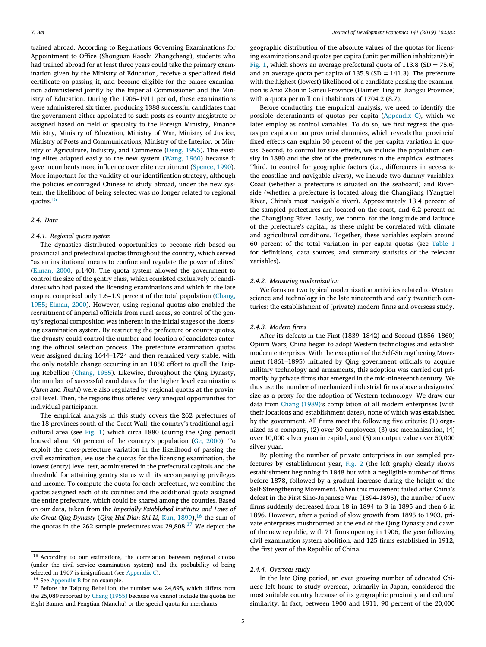trained abroad. According to Regulations Governing Examinations for Appointment to Office (Shouguan Kaoshi Zhangcheng), students who had trained abroad for at least three years could take the primary examination given by the Ministry of Education, receive a specialized field certificate on passing it, and become eligible for the palace examination administered jointly by the Imperial Commissioner and the Ministry of Education. During the 1905–1911 period, these examinations were administered six times, producing 1388 successful candidates that the government either appointed to such posts as county magistrate or assigned based on field of specialty to the Foreign Ministry, Finance Ministry, Ministry of Education, Ministry of War, Ministry of Justice, Ministry of Posts and Communications, Ministry of the Interior, or Ministry of Agriculture, Industry, and Commerce (Deng, 1995). The existing elites adapted easily to the new system (Wang, 1960) because it gave incumbents more influence over elite recruitment (Spence, 1990). More important for the validity of our identification strategy, although the policies encouraged Chinese to study abroad, under the new system, the likelihood of being selected was no longer related to regional quotas.<sup>15</sup>

# *2.4. Data*

#### *2.4.1. Regional quota system*

The dynasties distributed opportunities to become rich based on provincial and prefectural quotas throughout the country, which served "as an institutional means to confine and regulate the power of elites" (Elman, 2000, p.140). The quota system allowed the government to control the size of the gentry class, which consisted exclusively of candidates who had passed the licensing examinations and which in the late empire comprised only 1.6–1.9 percent of the total population (Chang, 1955; Elman, 2000). However, using regional quotas also enabled the recruitment of imperial officials from rural areas, so control of the gentry's regional composition was inherent in the initial stages of the licensing examination system. By restricting the prefecture or county quotas, the dynasty could control the number and location of candidates entering the official selection process. The prefecture examination quotas were assigned during 1644–1724 and then remained very stable, with the only notable change occurring in an 1850 effort to quell the Taiping Rebellion (Chang, 1955). Likewise, throughout the Qing Dynasty, the number of successful candidates for the higher level examinations (*Juren* and *Jinshi*) were also regulated by regional quotas at the provincial level. Then, the regions thus offered very unequal opportunities for individual participants.

The empirical analysis in this study covers the 262 prefectures of the 18 provinces south of the Great Wall, the country's traditional agricultural area (see Fig. 1) which circa 1880 (during the Qing period) housed about 90 percent of the country's population (Ge, 2000). To exploit the cross-prefecture variation in the likelihood of passing the civil examination, we use the quotas for the licensing examination, the lowest (entry) level test, administered in the prefectural capitals and the threshold for attaining gentry status with its accompanying privileges and income. To compute the quota for each prefecture, we combine the quotas assigned each of its counties and the additional quota assigned the entire prefecture, which could be shared among the counties. Based on our data, taken from the *Imperially Established Institutes and Laws of the Great Qing Dynasty* (*Qing Hui Dian Shi Li*, Kun, 1899),<sup>16</sup> the sum of the quotas in the 262 sample prefectures was 29,808.<sup>17</sup> We depict the

geographic distribution of the absolute values of the quotas for licensing examinations and quotas per capita (unit: per million inhabitants) in Fig. 1, which shows an average prefectural quota of  $113.8$  (SD = 75.6) and an average quota per capita of  $135.8$  (SD = 141.3). The prefecture with the highest (lowest) likelihood of a candidate passing the examination is Anxi Zhou in Gansu Province (Haimen Ting in Jiangsu Province) with a quota per million inhabitants of 1704.2 (8.7).

Before conducting the empirical analysis, we need to identify the possible determinants of quotas per capita (Appendix C), which we later employ as control variables. To do so, we first regress the quotas per capita on our provincial dummies, which reveals that provincial fixed effects can explain 30 percent of the per capita variation in quotas. Second, to control for size effects, we include the population density in 1880 and the size of the prefectures in the empirical estimates. Third, to control for geographic factors (i.e., differences in access to the coastline and navigable rivers), we include two dummy variables: Coast (whether a prefecture is situated on the seaboard) and Riverside (whether a prefecture is located along the Changjiang [Yangtze] River, China's most navigable river). Approximately 13.4 percent of the sampled prefectures are located on the coast, and 6.2 percent on the Changjiang River. Lastly, we control for the longitude and latitude of the prefecture's capital, as these might be correlated with climate and agricultural conditions. Together, these variables explain around 60 percent of the total variation in per capita quotas (see Table 1 for definitions, data sources, and summary statistics of the relevant variables).

#### *2.4.2. Measuring modernization*

We focus on two typical modernization activities related to Western science and technology in the late nineteenth and early twentieth centuries: the establishment of (private) modern firms and overseas study.

#### *2.4.3. Modern firms*

After its defeats in the First (1839–1842) and Second (1856–1860) Opium Wars, China began to adopt Western technologies and establish modern enterprises. With the exception of the Self-Strengthening Movement (1861–1895) initiated by Qing government officials to acquire military technology and armaments, this adoption was carried out primarily by private firms that emerged in the mid-nineteenth century. We thus use the number of mechanized industrial firms above a designated size as a proxy for the adoption of Western technology. We draw our data from Chang (1989)'s compilation of all modern enterprises (with their locations and establishment dates), none of which was established by the government. All firms meet the following five criteria: (1) organized as a company, (2) over 30 employees, (3) use mechanization, (4) over 10,000 silver yuan in capital, and (5) an output value over 50,000 silver yuan.

By plotting the number of private enterprises in our sampled prefectures by establishment year, Fig. 2 (the left graph) clearly shows establishment beginning in 1848 but with a negligible number of firms before 1878, followed by a gradual increase during the height of the Self-Strengthening Movement. When this movement failed after China's defeat in the First Sino-Japanese War (1894–1895), the number of new firms suddenly decreased from 18 in 1894 to 3 in 1895 and then 6 in 1896. However, after a period of slow growth from 1895 to 1903, private enterprises mushroomed at the end of the Qing Dynasty and dawn of the new republic, with 71 firms opening in 1906, the year following civil examination system abolition, and 125 firms established in 1912, the first year of the Republic of China.

# *2.4.4. Overseas study*

In the late Qing period, an ever growing number of educated Chinese left home to study overseas, primarily in Japan, considered the most suitable country because of its geographic proximity and cultural similarity. In fact, between 1900 and 1911, 90 percent of the 20,000

<sup>&</sup>lt;sup>15</sup> According to our estimations, the correlation between regional quotas (under the civil service examination system) and the probability of being selected in 1907 is insignificant (see Appendix C).

<sup>16</sup> See Appendix B for an example.

<sup>&</sup>lt;sup>17</sup> Before the Taiping Rebellion, the number was 24,698, which differs from the 25,089 reported by Chang (1955) because we cannot include the quotas for Eight Banner and Fengtian (Manchu) or the special quota for merchants.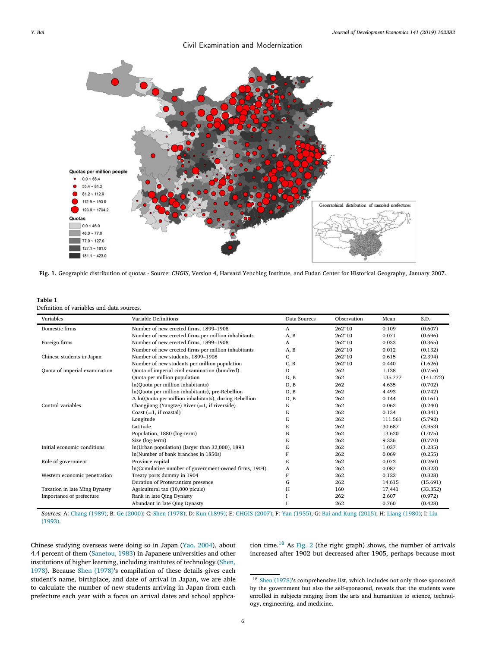# Civil Examination and Modernization



**Fig. 1.** Geographic distribution of quotas - Source: *CHGIS*, Version 4, Harvard Yenching Institute, and Fudan Center for Historical Geography, January 2007.

| Table 1                                   |  |
|-------------------------------------------|--|
| Definition of variables and data sources. |  |

| Variables                     | Variable Definitions                                         | Data Sources | Observation | Mean    | S.D.      |
|-------------------------------|--------------------------------------------------------------|--------------|-------------|---------|-----------|
| Domestic firms                | Number of new erected firms, 1899-1908                       | A            | $262*10$    | 0.109   | (0.607)   |
|                               | Number of new erected firms per million inhabitants          | A, B         | $262*10$    | 0.071   | (0.696)   |
| Foreign firms                 | Number of new erected firms, 1899-1908                       | A            | 262*10      | 0.033   | (0.365)   |
|                               | Number of new erected firms per million inhabitants          | A, B         | $262*10$    | 0.012   | (0.132)   |
| Chinese students in Japan     | Number of new students, 1899-1908                            | C            | $262*10$    | 0.615   | (2.394)   |
|                               | Number of new students per million population                | C, B         | $262*10$    | 0.440   | (1.626)   |
| Quota of imperial examination | Quota of imperial civil examination (hundred)                | D            | 262         | 1.138   | (0.756)   |
|                               | Quota per million population                                 | D, B         | 262         | 135.777 | (141.272) |
|                               | ln(Quota per million inhabitants)                            | D, B         | 262         | 4.635   | (0.702)   |
|                               | ln(Quota per million inhabitants), pre-Rebellion             | D, B         | 262         | 4.493   | (0.742)   |
|                               | $\Delta$ ln(Quota per million inhabitants), during Rebellion | D, B         | 262         | 0.144   | (0.161)   |
| Control variables             | Changiang (Yangtze) River $(=1, if$ riverside)               | E            | 262         | 0.062   | (0.240)   |
|                               | Coast $(=1, if constant)$                                    | E            | 262         | 0.134   | (0.341)   |
|                               | Longitude                                                    | E            | 262         | 111.561 | (5.792)   |
|                               | Latitude                                                     | F.           | 262         | 30.687  | (4.953)   |
|                               | Population, 1880 (log-term)                                  | B            | 262         | 13.620  | (1.075)   |
|                               | Size (log-term)                                              | E            | 262         | 9.336   | (0.770)   |
| Initial economic conditions   | ln(Urban population) (larger than 32,000), 1893              | E            | 262         | 1.037   | (1.235)   |
|                               | ln(Number of bank branches in 1850s)                         |              | 262         | 0.069   | (0.255)   |
| Role of government            | Province capital                                             | E            | 262         | 0.073   | (0.260)   |
|                               | In(Cumulative number of government-owned firms, 1904)        | A            | 262         | 0.087   | (0.323)   |
| Western economic penetration  | Treaty ports dummy in 1904                                   | F            | 262         | 0.122   | (0.328)   |
|                               | Duration of Protestantism presence                           | G            | 262         | 14.615  | (15.691)  |
| Taxation in late Ming Dynasty | Agricultural tax (10,000 piculs)                             | H            | 160         | 17.441  | (33.352)  |
| Importance of prefecture      | Rank in late Oing Dynasty                                    |              | 262         | 2.607   | (0.972)   |
|                               | Abundant in late Oing Dynasty                                |              | 262         | 0.760   | (0.428)   |

*Sources*: A: Chang (1989); B: Ge (2000); C: Shen (1978); D: Kun (1899); E: CHGIS (2007); F: Yan (1955); G: Bai and Kung (2015); H: Liang (1980); I: Liu (1993).

Chinese studying overseas were doing so in Japan (Yao, 2004), about 4.4 percent of them (Sanetou, 1983) in Japanese universities and other institutions of higher learning, including institutes of technology (Shen, 1978). Because Shen (1978)'s compilation of these details gives each student's name, birthplace, and date of arrival in Japan, we are able to calculate the number of new students arriving in Japan from each prefecture each year with a focus on arrival dates and school application time.<sup>18</sup> As Fig. 2 (the right graph) shows, the number of arrivals increased after 1902 but decreased after 1905, perhaps because most

<sup>18</sup> Shen (1978)'s comprehensive list, which includes not only those sponsored by the government but also the self-sponsored, reveals that the students were enrolled in subjects ranging from the arts and humanities to science, technology, engineering, and medicine.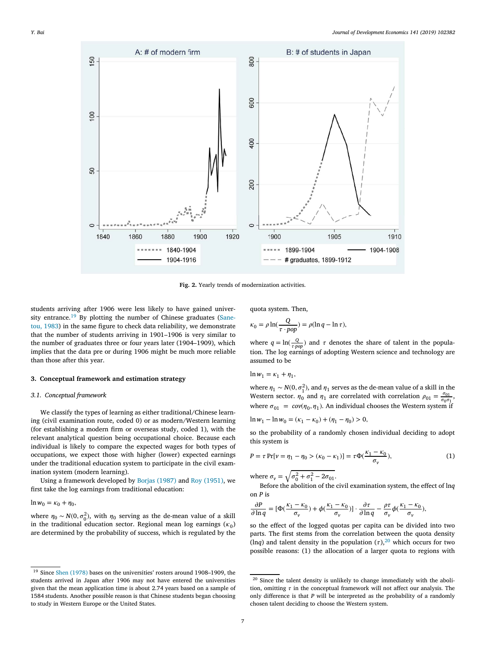

**Fig. 2.** Yearly trends of modernization activities.

students arriving after 1906 were less likely to have gained university entrance.<sup>19</sup> By plotting the number of Chinese graduates (Sanetou, 1983) in the same figure to check data reliability, we demonstrate that the number of students arriving in 1901–1906 is very similar to the number of graduates three or four years later (1904–1909), which implies that the data pre or during 1906 might be much more reliable than those after this year.

### **3. Conceptual framework and estimation strategy**

### *3.1. Conceptual framework*

We classify the types of learning as either traditional/Chinese learning (civil examination route, coded 0) or as modern/Western learning (for establishing a modern firm or overseas study, coded 1), with the relevant analytical question being occupational choice. Because each individual is likely to compare the expected wages for both types of occupations, we expect those with higher (lower) expected earnings under the traditional education system to participate in the civil examination system (modern learning).

Using a framework developed by Borjas (1987) and Roy (1951), we first take the log earnings from traditional education:

$$
\ln w_0 = \kappa_0 + \eta_0,
$$

where  $\eta_0 \sim N(0, \sigma_0^2)$ , with  $\eta_0$  serving as the de-mean value of a skill in the traditional education sector. Regional mean log earnings  $(\kappa_0)$ are determined by the probability of success, which is regulated by the quota system. Then,

$$
\kappa_0 = \rho \ln(\frac{Q}{\tau \cdot pop}) = \rho(\ln q - \ln \tau),
$$

where  $q = \ln(\frac{Q}{\tau pop})$  and  $\tau$  denotes the share of talent in the population. The log earnings of adopting Western science and technology are assumed to be

$$
\ln w_1 = \kappa_1 + \eta_1,
$$

where  $\eta_1 \sim N(0, \sigma_1^2)$ , and  $\eta_1$  serves as the de-mean value of a skill in the Western sector.  $\eta_0$  and  $\eta_1$  are correlated with correlation  $\rho_{01} = \frac{\sigma_{01}}{\sigma_0 \sigma_1}$ , where  $\sigma_{01} = cov(\eta_0, \eta_1)$ . An individual chooses the Western system if

$$
\ln w_1 - \ln w_0 = (\kappa_1 - \kappa_0) + (\eta_1 - \eta_0) > 0,
$$

so the probability of a randomly chosen individual deciding to adopt this system is

$$
P = \tau \Pr[v = \eta_1 - \eta_0 > (\kappa_0 - \kappa_1)] = \tau \Phi(\frac{\kappa_1 - \kappa_0}{\sigma_v}),\tag{1}
$$

where  $\sigma_{v} = \sqrt{\sigma_{0}^{2} + \sigma_{1}^{2} - 2\sigma_{01}}$ .

Before the abolition of the civil examination system, the effect of ln*q* on *P* is

$$
\frac{\partial P}{\partial \ln q} = [\Phi(\frac{\kappa_1 - \kappa_0}{\sigma_v}) + \phi(\frac{\kappa_1 - \kappa_0}{\sigma_v})] \cdot \frac{\partial \tau}{\partial \ln q} - \frac{\rho \tau}{\sigma_v} \phi(\frac{\kappa_1 - \kappa_0}{\sigma_v}),
$$

so the effect of the logged quotas per capita can be divided into two parts. The first stems from the correlation between the quota density (lnq) and talent density in the population  $(\tau)$ ,<sup>20</sup> which occurs for two possible reasons: (1) the allocation of a larger quota to regions with

<sup>19</sup> Since Shen (1978) bases on the universities' rosters around 1908–1909, the students arrived in Japan after 1906 may not have entered the universities given that the mean application time is about 2.74 years based on a sample of 1584 students. Another possible reason is that Chinese students began choosing to study in Western Europe or the United States.

 $20$  Since the talent density is unlikely to change immediately with the abolition, omitting  $\tau$  in the conceptual framework will not affect our analysis. The only difference is that *P* will be interpreted as the probability of a randomly chosen talent deciding to choose the Western system.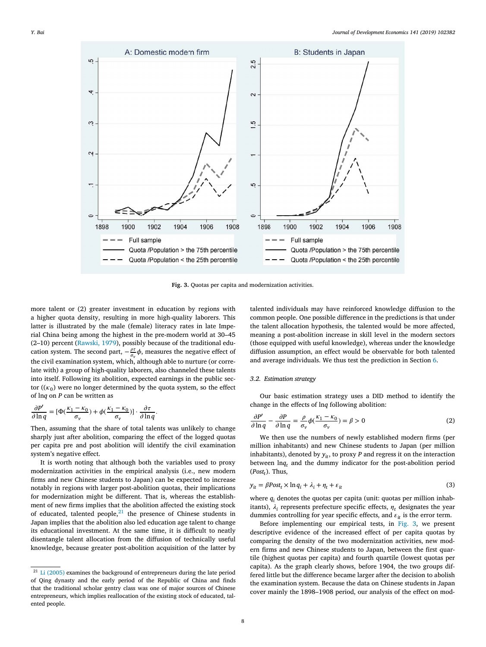

**Fig. 3.** Quotas per capita and modernization activities.

more talent or (2) greater investment in education by regions with a higher quota density, resulting in more high-quality laborers. This latter is illustrated by the male (female) literacy rates in late Imperial China being among the highest in the pre-modern world at 30–45 (2–10) percent (Rawski, 1979), possibly because of the traditional education system. The second part,  $-\frac{\rho\tau}{\sigma_{\nu}}\phi$ , measures the negative effect of the civil examination system, which, although able to nurture (or correlate with) a group of high-quality laborers, also channeled these talents into itself. Following its abolition, expected earnings in the public sector  $((\kappa_0)$  were no longer determined by the quota system, so the effect of ln*q* on *P* can be written as

$$
\frac{\partial P'}{\partial \ln q} = [\Phi(\frac{\kappa_1 - \kappa_0}{\sigma_\nu}) + \phi(\frac{\kappa_1 - \kappa_0}{\sigma_\nu})] \cdot \frac{\partial \tau}{\partial \ln q}.
$$

Then, assuming that the share of total talents was unlikely to change sharply just after abolition, comparing the effect of the logged quotas per capita pre and post abolition will identify the civil examination system's negative effect.

It is worth noting that although both the variables used to proxy modernization activities in the empirical analysis (i.e., new modern firms and new Chinese students to Japan) can be expected to increase notably in regions with larger post-abolition quotas, their implications for modernization might be different. That is, whereas the establishment of new firms implies that the abolition affected the existing stock of educated, talented people, $21$  the presence of Chinese students in Japan implies that the abolition also led education age talent to change its educational investment. At the same time, it is difficult to neatly disentangle talent allocation from the diffusion of technically useful knowledge, because greater post-abolition acquisition of the latter by

talented individuals may have reinforced knowledge diffusion to the common people. One possible difference in the predictions is that under the talent allocation hypothesis, the talented would be more affected, meaning a post-abolition increase in skill level in the modern sectors (those equipped with useful knowledge), whereas under the knowledge diffusion assumption, an effect would be observable for both talented and average individuals. We thus test the prediction in Section 6.

# *3.2. Estimation strategy*

Our basic estimation strategy uses a DID method to identify the change in the effects of ln*q* following abolition:

$$
\frac{\partial P'}{\partial \ln q} - \frac{\partial P}{\partial \ln q} = \frac{\rho}{\sigma_v} \phi(\frac{\kappa_1 - \kappa_0}{\sigma_v}) = \beta > 0
$$
\n(2)

We then use the numbers of newly established modern firms (per million inhabitants) and new Chinese students to Japan (per million inhabitants), denoted by  $y_{it}$ , to proxy  $P$  and regress it on the interaction between ln*q<sup>t</sup>* and the dummy indicator for the post-abolition period (*Post<sup>t</sup>* ). Thus,

$$
y_{it} = \beta Post_t \times \ln q_i + \lambda_i + \eta_t + \varepsilon_{it}
$$
\n(3)

where  $q_i$  denotes the quotas per capita (unit: quotas per million inhabitants),  $\lambda_i$  represents prefecture specific effects,  $\eta_t$  designates the year dummies controlling for year specific effects, and  $\varepsilon_{it}$  is the error term.

Before implementing our empirical tests, in Fig. 3, we present descriptive evidence of the increased effect of per capita quotas by comparing the density of the two modernization activities, new modern firms and new Chinese students to Japan, between the first quartile (highest quotas per capita) and fourth quartile (lowest quotas per capita). As the graph clearly shows, before 1904, the two groups differed little but the difference became larger after the decision to abolish the examination system. Because the data on Chinese students in Japan cover mainly the 1898–1908 period, our analysis of the effect on mod-

 $^{21}$  Li  $\left( 2005\right)$  examines the background of entrepreneurs during the late period of Qing dynasty and the early period of the Republic of China and finds that the traditional scholar gentry class was one of major sources of Chinese entrepreneurs, which implies reallocation of the existing stock of educated, talented people.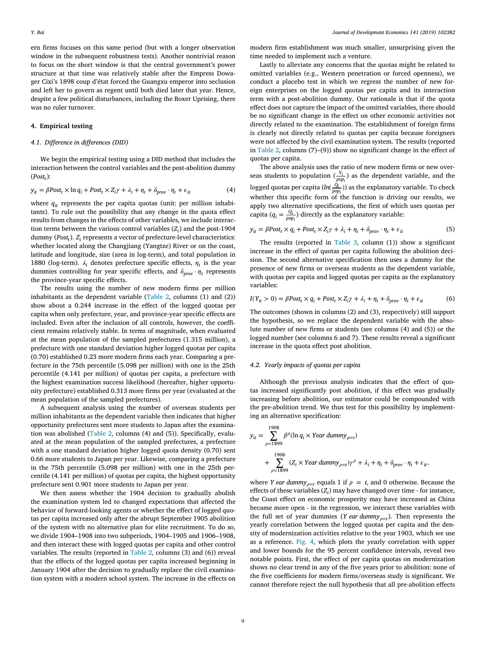ern firms focuses on this same period (but with a longer observation window in the subsequent robustness tests). Another nontrivial reason to focus on the short window is that the central government's power structure at that time was relatively stable after the Empress Dowager Cixi's 1898 coup d'état forced the Guangxu emperor into seclusion and left her to govern as regent until both died later that year. Hence, despite a few political disturbances, including the Boxer Uprising, there was no ruler turnover.

#### **4. Empirical testing**

### *4.1. Difference in differences (DID)*

We begin the empirical testing using a DID method that includes the interaction between the control variables and the post-abolition dummy (*Post<sup>t</sup>* ):

$$
y_{it} = \beta Post_t \times \ln q_i + Post_t \times Z_i \gamma + \lambda_i + \eta_t + \delta_{prov} \cdot \eta_t + \varepsilon_{it}
$$
(4)

where  $q_{it}$  represents the per capita quotas (unit: per million inhabitants). To rule out the possibility that any change in the quota effect results from changes in the effects of other variables, we include interaction terms between the various control variables (*Z<sup>i</sup>* ) and the post-1904 dummy (*Post<sup>t</sup>* ). *Z<sup>i</sup>* represents a vector of prefecture-level characteristics: whether located along the Changjiang (Yangtze) River or on the coast, latitude and longitude, size (area in log-term), and total population in 1880 (log-term).  $\lambda_i$  denotes prefecture specific effects,  $\eta_t$  is the year dummies controlling for year specific effects, and  $\delta_{\text{prov}} \cdot \eta_t$  represents the province-year specific effects.

The results using the number of new modern firms per million inhabitants as the dependent variable (Table 2, columns (1) and (2)) show about a 0.244 increase in the effect of the logged quotas per capita when only prefecture, year, and province-year specific effects are included. Even after the inclusion of all controls, however, the coefficient remains relatively stable. In terms of magnitude, when evaluated at the mean population of the sampled prefectures (1.315 million), a prefecture with one standard deviation higher logged quotas per capita (0.70) established 0.23 more modern firms each year. Comparing a prefecture in the 75th percentile (5.098 per million) with one in the 25th percentile (4.141 per million) of quotas per capita, a prefecture with the highest examination success likelihood (hereafter, higher opportunity prefecture) established 0.313 more firms per year (evaluated at the mean population of the sampled prefectures).

A subsequent analysis using the number of overseas students per million inhabitants as the dependent variable then indicates that higher opportunity prefectures sent more students to Japan after the examination was abolished (Table 2, columns (4) and (5)). Specifically, evaluated at the mean population of the sampled prefectures, a prefecture with a one standard deviation higher logged quota density (0.70) sent 0.66 more students to Japan per year. Likewise, comparing a prefecture in the 75th percentile (5.098 per million) with one in the 25th percentile (4.141 per million) of quotas per capita, the highest opportunity prefecture sent 0.901 more students to Japan per year.

We then assess whether the 1904 decision to gradually abolish the examination system led to changed expectations that affected the behavior of forward-looking agents or whether the effect of logged quotas per capita increased only after the abrupt September 1905 abolition of the system with no alternative plan for elite recruitment. To do so, we divide 1904–1908 into two subperiods, 1904–1905 and 1906–1908, and then interact these with logged quotas per capita and other control variables. The results (reported in Table 2, columns (3) and (6)) reveal that the effects of the logged quotas per capita increased beginning in January 1904 after the decision to gradually replace the civil examination system with a modern school system. The increase in the effects on

modern firm establishment was much smaller, unsurprising given the time needed to implement such a venture.

Lastly to alleviate any concerns that the quotas might be related to omitted variables (e.g., Western penetration or forced openness), we conduct a placebo test in which we regress the number of new foreign enterprises on the logged quotas per capita and its interaction term with a post-abolition dummy. Our rationale is that if the quota effect does not capture the impact of the omitted variables, there should be no significant change in the effect on other economic activities not directly related to the examination. The establishment of foreign firms is clearly not directly related to quotas per capita because foreigners were not affected by the civil examination system. The results (reported in Table 2, columns (7)–(9)) show no significant change in the effect of quotas per capita.

The above analysis uses the ratio of new modern firms or new overseas students to population  $(\frac{Y_i}{pop_i})$  as the dependent variable, and the logged quotas per capita  $(ln(\frac{Q_i}{pop_i}))$  as the explanatory variable. To check whether this specific form of the function is driving our results, we apply two alternative specifications, the first of which uses quotas per capita ( $q_i = \frac{Q_i}{pop_i}$ ) directly as the explanatory variable:

$$
y_{it} = \beta Post_t \times q_i + Post_t \times Z_i \gamma + \lambda_i + \eta_t + \delta_{prov} \cdot \eta_t + \varepsilon_{it}
$$
(5)

The results (reported in Table 3, column (1)) show a significant increase in the effect of quotas per capita following the abolition decision. The second alternative specification then uses a dummy for the presence of new firms or overseas students as the dependent variable, with quotas per capita and logged quotas per capita as the explanatory variables:

$$
I(Y_{it} > 0) = \beta Post_t \times q_i + Post_t \times Z_i \gamma + \lambda_i + \eta_t + \delta_{prov} \cdot \eta_t + \varepsilon_{it}
$$
(6)

The outcomes (shown in columns (2) and (3), respectively) still support the hypothesis, so we replace the dependent variable with the absolute number of new firms or students (see columns (4) and (5)) or the logged number (see columns 6 and 7). These results reveal a significant increase in the quota effect post abolition.

#### *4.2. Yearly impacts of quotas per capita*

Although the previous analysis indicates that the effect of quotas increased significantly post abolition, if this effect was gradually increasing before abolition, our estimator could be compounded with the pre-abolition trend. We thus test for this possibility by implementing an alternative specification:

$$
y_{it} = \sum_{\rho=1899}^{1908} \beta^{\rho} (\ln q_i \times \text{Year dummy}_{\rho=t})
$$
  
+ 
$$
\sum_{\rho=1899}^{1908} (Z_i \times \text{Year dummy}_{\rho=t}) \gamma^{\rho} + \lambda_i + \eta_t + \delta_{prov} \cdot \eta_t + \varepsilon_{it},
$$

where *Y* ear dummy<sub> $\rho=t$ </sub> equals 1 if  $\rho = t$ , and 0 otherwise. Because the effects of these variables  $(Z_i)$  may have changed over time - for instance, the Coast effect on economic prosperity may have increased as China became more open - in the regression, we interact these variables with the full set of year dummies (*Y ear dummy* $_{\rho=t}$ ). Then represents the yearly correlation between the logged quotas per capita and the density of modernization activities relative to the year 1903, which we use as a reference. Fig. 4, which plots the yearly correlation with upper and lower bounds for the 95 percent confidence intervals, reveal two notable points. First, the effect of per capita quotas on modernization shows no clear trend in any of the five years prior to abolition: none of the five coefficients for modern firms/overseas study is significant. We cannot therefore reject the null hypothesis that all pre-abolition effects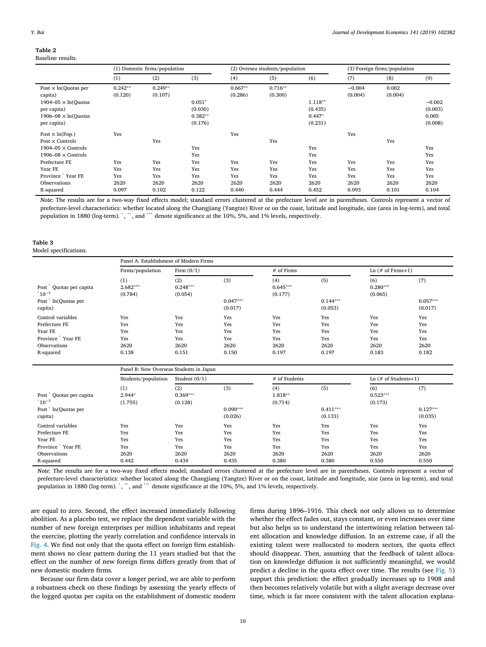|                                                                                                                                       | (1) Domestic firms/population |                      |                                             |                      | (2) Oversea students/population |                                             |                     | (3) Foreign firms/population |                                         |  |
|---------------------------------------------------------------------------------------------------------------------------------------|-------------------------------|----------------------|---------------------------------------------|----------------------|---------------------------------|---------------------------------------------|---------------------|------------------------------|-----------------------------------------|--|
|                                                                                                                                       | (1)                           | (2)                  | (3)                                         | (4)                  | (5)                             | (6)                                         | (7)                 | (8)                          | (9)                                     |  |
| Post $\times$ ln(Quotas per<br>capita)<br>$1904 - 05 \times ln(Quotas$<br>per capita)<br>$1906 - 08 \times ln(Quotas)$<br>per capita) | $0.242**$<br>(0.120)          | $0.249**$<br>(0.107) | $0.051*$<br>(0.030)<br>$0.382**$<br>(0.176) | $0.667**$<br>(0.286) | $0.716**$<br>(0.300)            | $1.118**$<br>(0.435)<br>$0.447*$<br>(0.231) | $-0.004$<br>(0.004) | 0.002<br>(0.004)             | $-0.002$<br>(0.003)<br>0.005<br>(0.008) |  |
| Post $\times$ ln(Pop.)<br>Post $\times$ Controls                                                                                      | Yes                           | Yes                  |                                             | Yes                  | Yes                             |                                             | Yes                 | Yes                          |                                         |  |
| $1904 - 05 \times$ Controls<br>$1906 - 08 \times$ Controls                                                                            |                               |                      | Yes<br>Yes                                  |                      |                                 | Yes<br>Yes                                  |                     |                              | Yes<br>Yes                              |  |
| Prefecture FE                                                                                                                         | Yes                           | Yes                  | Yes                                         | Yes                  | Yes                             | Yes                                         | Yes                 | Yes                          | Yes                                     |  |
| Year FE                                                                                                                               | Yes                           | Yes                  | Yes                                         | Yes                  | Yes                             | Yes                                         | Yes                 | Yes                          | Yes                                     |  |
| Province * Year FE                                                                                                                    | Yes                           | Yes                  | Yes                                         | Yes                  | Yes                             | Yes                                         | Yes                 | Yes                          | Yes                                     |  |
| Observations                                                                                                                          | 2620                          | 2620                 | 2620                                        | 2620                 | 2620                            | 2620                                        | 2620                | 2620                         | 2620                                    |  |
| R-squared                                                                                                                             | 0.097                         | 0.102                | 0.122                                       | 0.440                | 0.444                           | 0.452                                       | 0.093               | 0.101                        | 0.104                                   |  |

*Note*: The results are for a two-way fixed effects model; standard errors clustered at the prefecture level are in parentheses. Controls represent a vector of prefecture-level characteristics: whether located along the Changjiang (Yangtze) River or on the coast, latitude and longitude, size (area in log-term), and total population in 1880 (log-term). \*, \*\*, and \*\*\* denote significance at the 10%, 5%, and 1% levels, respectively.

# **Table 3**

Model specifications.

|                                                                                                  | Panel A: Establishment of Modern Firms    |                                           |                                           |                                           |                                           |                                           |                                           |  |  |  |  |
|--------------------------------------------------------------------------------------------------|-------------------------------------------|-------------------------------------------|-------------------------------------------|-------------------------------------------|-------------------------------------------|-------------------------------------------|-------------------------------------------|--|--|--|--|
|                                                                                                  | Firms/population                          | Firm $(0/1)$                              |                                           | $#$ of Firms                              |                                           | Ln $(\#$ of Firms $+1)$                   |                                           |  |  |  |  |
| Post <sup>*</sup> Quotas per capita<br>$10^{-3}$<br>Post <sup>*</sup> ln(Quotas per<br>capita)   | (1)<br>$2.682***$<br>(0.784)              | (2)<br>$0.248***$<br>(0.054)              | (3)<br>$0.047***$<br>(0.017)              | (4)<br>$0.645***$<br>(0.177)              | (5)<br>$0.144***$<br>(0.053)              | (6)<br>$0.280***$<br>(0.065)              | (7)<br>$0.057***$<br>(0.017)              |  |  |  |  |
| Control variables<br>Prefecture FE<br>Year FE<br>Province * Year FE<br>Observations<br>R-squared | Yes<br>Yes<br>Yes<br>Yes<br>2620<br>0.138 | Yes<br>Yes<br>Yes<br>Yes<br>2620<br>0.151 | Yes<br>Yes<br>Yes<br>Yes<br>2620<br>0.150 | Yes<br>Yes<br>Yes<br>Yes<br>2620<br>0.197 | Yes<br>Yes<br>Yes<br>Yes<br>2620<br>0.197 | Yes<br>Yes<br>Yes<br>Yes<br>2620<br>0.183 | Yes<br>Yes<br>Yes<br>Yes<br>2620<br>0.182 |  |  |  |  |

|                                        | Panel B: New Overseas Students in Japan |                 |               |         |            |                         |            |  |  |  |
|----------------------------------------|-----------------------------------------|-----------------|---------------|---------|------------|-------------------------|------------|--|--|--|
|                                        | Students/population                     | Student $(0/1)$ | # of Students |         |            | Ln $(\#$ of Students+1) |            |  |  |  |
|                                        | (1)                                     | (2)             | (3)           | (4)     | (5)        | (6)                     | (7)        |  |  |  |
| Quotas per capita<br>Post <sup>*</sup> | 2.944*                                  | $0.369***$      |               | 1.818** |            | $0.523***$              |            |  |  |  |
| $*10^{-3}$                             | (1.755)                                 | (0.128)         |               | (0.714) |            | (0.173)                 |            |  |  |  |
| In(Quotas per<br>Post <sup>*</sup>     |                                         |                 | $0.090***$    |         | $0.411***$ |                         | $0.127***$ |  |  |  |
| capita)                                |                                         |                 | (0.026)       |         | (0.133)    |                         | (0.035)    |  |  |  |
| Control variables                      | Yes                                     | Yes             | Yes           | Yes     | Yes        | Yes                     | Yes        |  |  |  |
| Prefecture FE                          | Yes                                     | Yes             | Yes           | Yes     | Yes        | Yes                     | Yes        |  |  |  |
| Year FE                                | Yes                                     | Yes             | Yes           | Yes     | Yes        | Yes                     | Yes        |  |  |  |
| Province * Year FE                     | Yes                                     | Yes             | Yes           | Yes     | Yes        | Yes                     | Yes        |  |  |  |
| Observations                           | 2620                                    | 2620            | 2620          | 2620    | 2620       | 2620                    | 2620       |  |  |  |
| R-squared                              | 0.442                                   | 0.434           | 0.435         | 0.380   | 0.380      | 0.550                   | 0.550      |  |  |  |

*Note*: The results are for a two-way fixed effects model; standard errors clustered at the prefecture level are in parentheses. Controls represent a vector of prefecture-level characteristics: whether located along the Changjiang (Yangtze) River or on the coast, latitude and longitude, size (area in log-term), and total population in 1880 (log-term). \*, \*\*, and \*\*\* denote significance at the 10%, 5%, and 1% levels, respectively.

are equal to zero. Second, the effect increased immediately following abolition. As a placebo test, we replace the dependent variable with the number of new foreign enterprises per million inhabitants and repeat the exercise, plotting the yearly correlation and confidence intervals in Fig. 4. We find not only that the quota effect on foreign firm establishment shows no clear pattern during the 11 years studied but that the effect on the number of new foreign firms differs greatly from that of new domestic modern firms.

Because our firm data cover a longer period, we are able to perform a robustness check on these findings by assessing the yearly effects of the logged quotas per capita on the establishment of domestic modern

firms during 1896–1916. This check not only allows us to determine whether the effect fades out, stays constant, or even increases over time but also helps us to understand the intertwining relation between talent allocation and knowledge diffusion. In an extreme case, if all the existing talent were reallocated to modern sectors, the quota effect should disappear. Then, assuming that the feedback of talent allocation on knowledge diffusion is not sufficiently meaningful, we would predict a decline in the quota effect over time. The results (see Fig. 5) support this prediction: the effect gradually increases up to 1908 and then becomes relatively volatile but with a slight average decrease over time, which is far more consistent with the talent allocation explana-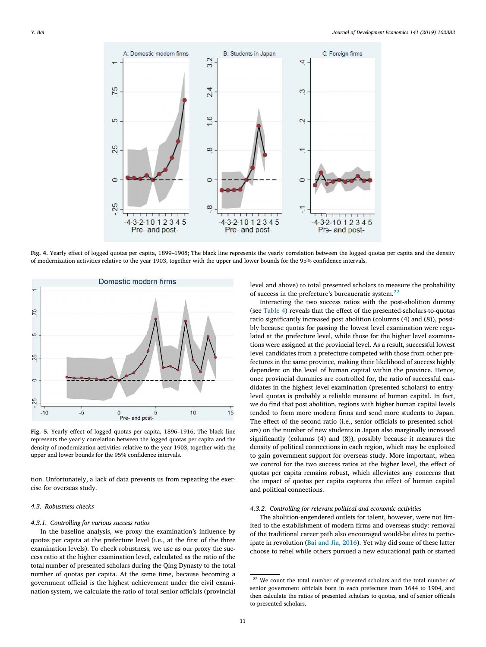

**Fig. 4.** Yearly effect of logged quotas per capita, 1899–1908; The black line represents the yearly correlation between the logged quotas per capita and the density of modernization activities relative to the year 1903, together with the upper and lower bounds for the 95% confidence intervals.



**Fig. 5.** Yearly effect of logged quotas per capita, 1896–1916; The black line represents the yearly correlation between the logged quotas per capita and the density of modernization activities relative to the year 1903, together with the upper and lower bounds for the 95% confidence intervals.

tion. Unfortunately, a lack of data prevents us from repeating the exercise for overseas study.

### *4.3. Robustness checks*

#### *4.3.1. Controlling for various success ratios*

In the baseline analysis, we proxy the examination's influence by quotas per capita at the prefecture level (i.e., at the first of the three examination levels). To check robustness, we use as our proxy the success ratio at the higher examination level, calculated as the ratio of the total number of presented scholars during the Qing Dynasty to the total number of quotas per capita. At the same time, because becoming a government official is the highest achievement under the civil examination system, we calculate the ratio of total senior officials (provincial

level and above) to total presented scholars to measure the probability of success in the prefecture's bureaucratic system.<sup>22</sup>

Interacting the two success ratios with the post-abolition dummy (see Table 4) reveals that the effect of the presented-scholars-to-quotas ratio significantly increased post abolition (columns (4) and (8)), possibly because quotas for passing the lowest level examination were regulated at the prefecture level, while those for the higher level examinations were assigned at the provincial level. As a result, successful lowest level candidates from a prefecture competed with those from other prefectures in the same province, making their likelihood of success highly dependent on the level of human capital within the province. Hence, once provincial dummies are controlled for, the ratio of successful candidates in the highest level examination (presented scholars) to entrylevel quotas is probably a reliable measure of human capital. In fact, we do find that post abolition, regions with higher human capital levels tended to form more modern firms and send more students to Japan. The effect of the second ratio (i.e., senior officials to presented scholars) on the number of new students in Japan also marginally increased significantly (columns (4) and (8)), possibly because it measures the density of political connections in each region, which may be exploited to gain government support for overseas study. More important, when we control for the two success ratios at the higher level, the effect of quotas per capita remains robust, which alleviates any concerns that the impact of quotas per capita captures the effect of human capital and political connections.

#### *4.3.2. Controlling for relevant political and economic activities*

The abolition-engendered outlets for talent, however, were not limited to the establishment of modern firms and overseas study: removal of the traditional career path also encouraged would-be elites to participate in revolution (Bai and Jia, 2016). Yet why did some of these latter choose to rebel while others pursued a new educational path or started

<sup>&</sup>lt;sup>22</sup> We count the total number of presented scholars and the total number of senior government officials born in each prefecture from 1644 to 1904, and then calculate the ratios of presented scholars to quotas, and of senior officials to presented scholars.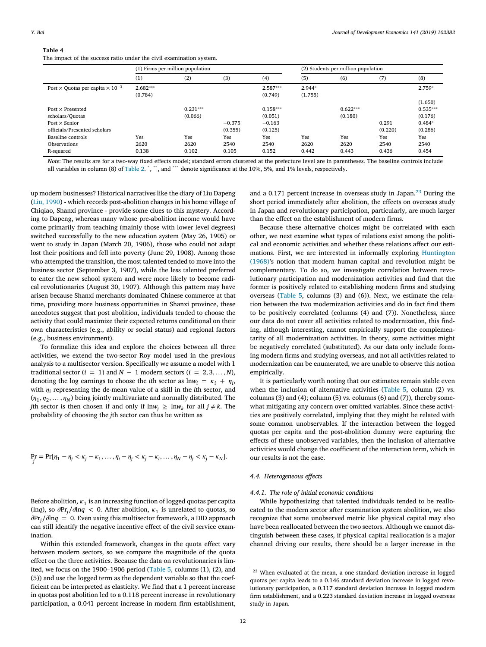The impact of the success ratio under the civil examination system.

|                                                           | (1) Firms per million population |            |          |                       | (2) Students per million population |            |         |            |
|-----------------------------------------------------------|----------------------------------|------------|----------|-----------------------|-------------------------------------|------------|---------|------------|
|                                                           | (1)                              | (2)        | (3)      | (4)                   | (5)                                 | (6)        | (7)     | (8)        |
| Post $\times$ Quotas per capita $\times$ 10 <sup>-3</sup> | $2.682***$<br>(0.784)            |            |          | $2.587***$<br>(0.749) | 2.944*<br>(1.755)                   |            |         | $2.759*$   |
|                                                           |                                  |            |          |                       |                                     |            |         | (1.650)    |
| Post $\times$ Presented                                   |                                  | $0.231***$ |          | $0.158***$            |                                     | $0.622***$ |         | $0.535***$ |
| scholars/Quotas                                           |                                  | (0.066)    |          | (0.051)               |                                     | (0.180)    |         | (0.176)    |
| Post $\times$ Senior                                      |                                  |            | $-0.375$ | $-0.163$              |                                     |            | 0.291   | $0.484*$   |
| officials/Presented scholars                              |                                  |            | (0.355)  | (0.125)               |                                     |            | (0.220) | (0.286)    |
| Baseline controls                                         | Yes                              | Yes        | Yes      | Yes                   | Yes                                 | Yes        | Yes     | Yes        |
| <b>Observations</b>                                       | 2620                             | 2620       | 2540     | 2540                  | 2620                                | 2620       | 2540    | 2540       |
| R-squared                                                 | 0.138                            | 0.102      | 0.105    | 0.152                 | 0.442                               | 0.443      | 0.436   | 0.454      |

*Note*: The results are for a two-way fixed effects model; standard errors clustered at the prefecture level are in parentheses. The baseline controls include all variables in column (8) of Table 2. \*, \*\*, and \*\*\* denote significance at the 10%, 5%, and 1% levels, respectively.

up modern businesses? Historical narratives like the diary of Liu Dapeng (Liu, 1990) - which records post-abolition changes in his home village of Chiqiao, Shanxi province - provide some clues to this mystery. According to Dapeng, whereas many whose pre-abolition income would have come primarily from teaching (mainly those with lower level degrees) switched successfully to the new education system (May 26, 1905) or went to study in Japan (March 20, 1906), those who could not adapt lost their positions and fell into poverty (June 29, 1908). Among those who attempted the transition, the most talented tended to move into the business sector (September 3, 1907), while the less talented preferred to enter the new school system and were more likely to become radical revolutionaries (August 30, 1907). Although this pattern may have arisen because Shanxi merchants dominated Chinese commerce at that time, providing more business opportunities in Shanxi province, these anecdotes suggest that post abolition, individuals tended to choose the activity that could maximize their expected returns conditional on their own characteristics (e.g., ability or social status) and regional factors (e.g., business environment).

To formalize this idea and explore the choices between all three activities, we extend the two-sector Roy model used in the previous analysis to a multisector version. Specifically we assume a model with 1 traditional sector  $(i = 1)$  and  $N - 1$  modern sectors  $(i = 2, 3, \ldots, N)$ , denoting the log earnings to choose the *i*th sector as  $ln w_i = \kappa_i + \eta_i$ , with  $\eta_i$  representing the de-mean value of a skill in the *i*th sector, and  $(\eta_1, \eta_2, \ldots, \eta_N)$  being jointly multivariate and normally distributed. The *j*th sector is then chosen if and only if  $\text{ln}w_j \geq \text{ln}w_k$  for all  $j \neq k$ . The probability of choosing the *j*th sector can thus be written as

$$
\Pr_j = \Pr[\eta_1 - \eta_j < \kappa_j - \kappa_1, \dots, \eta_i - \eta_j < \kappa_j - \kappa_i, \dots, \eta_N - \eta_j < \kappa_j - \kappa_N].
$$

Before abolition,  $\kappa_1$  is an increasing function of logged quotas per capita (ln*q*), so  $\partial Pr_j / \partial lnq$  < 0. After abolition,  $\kappa_1$  is unrelated to quotas, so ∂Pr*j*∕∂ln*q* = 0. Even using this multisector framework, a DID approach can still identify the negative incentive effect of the civil service examination.

Within this extended framework, changes in the quota effect vary between modern sectors, so we compare the magnitude of the quota effect on the three activities. Because the data on revolutionaries is limited, we focus on the 1900–1906 period (Table 5, columns (1), (2), and (5)) and use the logged term as the dependent variable so that the coefficient can be interpreted as elasticity. We find that a 1 percent increase in quotas post abolition led to a 0.118 percent increase in revolutionary participation, a 0.041 percent increase in modern firm establishment,

and a 0.171 percent increase in overseas study in Japan. $^{23}$  During the short period immediately after abolition, the effects on overseas study in Japan and revolutionary participation, particularly, are much larger than the effect on the establishment of modern firms.

Because these alternative choices might be correlated with each other, we next examine what types of relations exist among the political and economic activities and whether these relations affect our estimations. First, we are interested in informally exploring Huntington (1968)'s notion that modern human capital and revolution might be complementary. To do so, we investigate correlation between revolutionary participation and modernization activities and find that the former is positively related to establishing modern firms and studying overseas (Table 5, columns (3) and (6)). Next, we estimate the relation between the two modernization activities and do in fact find them to be positively correlated (columns (4) and (7)). Nonetheless, since our data do not cover all activities related to modernization, this finding, although interesting, cannot empirically support the complementarity of all modernization activities. In theory, some activities might be negatively correlated (substituted). As our data only include forming modern firms and studying overseas, and not all activities related to modernization can be enumerated, we are unable to observe this notion empirically.

It is particularly worth noting that our estimates remain stable even when the inclusion of alternative activities (Table 5, column (2) vs. columns (3) and (4); column (5) vs. columns (6) and (7)), thereby somewhat mitigating any concern over omitted variables. Since these activities are positively correlated, implying that they might be related with some common unobservables. If the interaction between the logged quotas per capita and the post-abolition dummy were capturing the effects of these unobserved variables, then the inclusion of alternative activities would change the coefficient of the interaction term, which in our results is not the case.

#### *4.4. Heterogeneous effects*

#### *4.4.1. The role of initial economic conditions*

While hypothesizing that talented individuals tended to be reallocated to the modern sector after examination system abolition, we also recognize that some unobserved metric like physical capital may also have been reallocated between the two sectors. Although we cannot distinguish between these cases, if physical capital reallocation is a major channel driving our results, there should be a larger increase in the

<sup>23</sup> When evaluated at the mean, a one standard deviation increase in logged quotas per capita leads to a 0.146 standard deviation increase in logged revolutionary participation, a 0.117 standard deviation increase in logged modern firm establishment, and a 0.223 standard deviation increase in logged overseas study in Japan.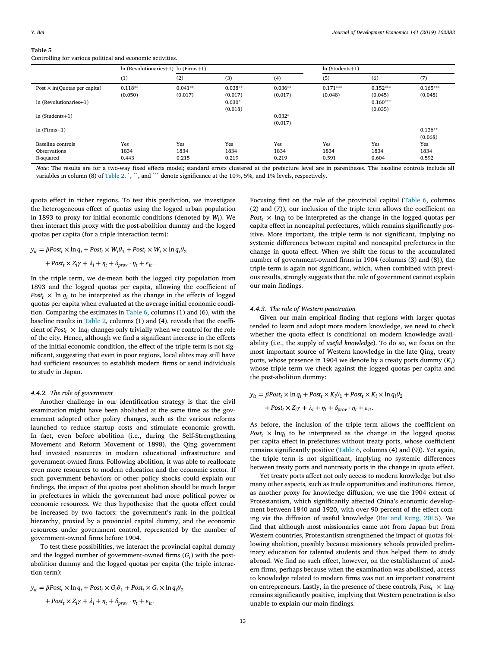Controlling for various political and economic activities.

|                                     | $ln(Revolutionaries+1) ln(Firms+1)$ |                      |                      |                      | $ln (Students+1)$     |                       |                       |
|-------------------------------------|-------------------------------------|----------------------|----------------------|----------------------|-----------------------|-----------------------|-----------------------|
|                                     | (1)                                 | (2)                  | (3)                  | (4)                  | (5)                   | (6)                   | (7)                   |
| Post $\times$ ln(Quotas per capita) | $0.118**$<br>(0.050)                | $0.041**$<br>(0.017) | $0.038**$<br>(0.017) | $0.036**$<br>(0.017) | $0.171***$<br>(0.048) | $0.152***$<br>(0.045) | $0.165***$<br>(0.048) |
| ln (Revolutionaries+1)              |                                     |                      | $0.030*$<br>(0.018)  |                      |                       | $0.160***$<br>(0.035) |                       |
| $ln (Students+1)$                   |                                     |                      |                      | $0.032*$<br>(0.017)  |                       |                       |                       |
| $ln(Firms+1)$                       |                                     |                      |                      |                      |                       |                       | $0.136**$<br>(0.068)  |
| Baseline controls                   | Yes                                 | Yes                  | Yes                  | Yes                  | Yes                   | Yes                   | Yes                   |
| Observations                        | 1834                                | 1834                 | 1834                 | 1834                 | 1834                  | 1834                  | 1834                  |
| R-squared                           | 0.443                               | 0.215                | 0.219                | 0.219                | 0.591                 | 0.604                 | 0.592                 |

*Note*: The results are for a two-way fixed effects model; standard errors clustered at the prefecture level are in parentheses. The baseline controls include all variables in column (8) of Table 2. \*, \*\*, and \*\*\* denote significance at the 10%, 5%, and 1% levels, respectively.

quota effect in richer regions. To test this prediction, we investigate the heterogeneous effect of quotas using the logged urban population in 1893 to proxy for initial economic conditions (denoted by *W<sup>i</sup>* ). We then interact this proxy with the post-abolition dummy and the logged quotas per capita (for a triple interaction term):

$$
y_{it} = \beta Post_t \times \ln q_i + Post_t \times W_i \theta_1 + Post_t \times W_i \times \ln q_i \theta_2
$$

$$
+ Post_t \times Z_i \gamma + \lambda_i + \eta_t + \delta_{prov} \cdot \eta_t + \varepsilon_{it}.
$$

In the triple term, we de-mean both the logged city population from 1893 and the logged quotas per capita, allowing the coefficient of *Post<sub>t</sub>*  $\times$  ln  $q_i$  to be interpreted as the change in the effects of logged quotas per capita when evaluated at the average initial economic condition. Comparing the estimates in Table 6, columns (1) and (6), with the baseline results in Table 2, columns (1) and (4), reveals that the coefficient of  $Post_t \times \text{ln}q_i$  changes only trivially when we control for the role of the city. Hence, although we find a significant increase in the effects of the initial economic condition, the effect of the triple term is not significant, suggesting that even in poor regions, local elites may still have had sufficient resources to establish modern firms or send individuals to study in Japan.

#### *4.4.2. The role of government*

Another challenge in our identification strategy is that the civil examination might have been abolished at the same time as the government adopted other policy changes, such as the various reforms launched to reduce startup costs and stimulate economic growth. In fact, even before abolition (i.e., during the Self-Strengthening Movement and Reform Movement of 1898), the Qing government had invested resources in modern educational infrastructure and government-owned firms. Following abolition, it was able to reallocate even more resources to modern education and the economic sector. If such government behaviors or other policy shocks could explain our findings, the impact of the quotas post abolition should be much larger in prefectures in which the government had more political power or economic resources. We thus hypothesize that the quota effect could be increased by two factors: the government's rank in the political hierarchy, proxied by a provincial capital dummy, and the economic resources under government control, represented by the number of government-owned firms before 1904.

To test these possibilities, we interact the provincial capital dummy and the logged number of government-owned firms (*G<sup>i</sup>* ) with the postabolition dummy and the logged quotas per capita (the triple interaction term):

$$
y_{it} = \beta Post_t \times \ln q_i + Post_t \times G_i \theta_1 + Post_t \times G_i \times \ln q_i \theta_2
$$

$$
+ Post_t \times Z_i \gamma + \lambda_i + \eta_t + \delta_{prov} \cdot \eta_t + \varepsilon_i.
$$

Focusing first on the role of the provincial capital (Table 6, columns (2) and (7)), our inclusion of the triple term allows the coefficient on  $Post<sub>t</sub> \times lnq<sub>i</sub>$  to be interpreted as the change in the logged quotas per capita effect in noncapital prefectures, which remains significantly positive. More important, the triple term is not significant, implying no systemic differences between capital and noncapital prefectures in the change in quota effect. When we shift the focus to the accumulated number of government-owned firms in 1904 (columns (3) and (8)), the triple term is again not significant, which, when combined with previous results, strongly suggests that the role of government cannot explain our main findings.

### *4.4.3. The role of Western penetration*

Given our main empirical finding that regions with larger quotas tended to learn and adopt more modern knowledge, we need to check whether the quota effect is conditional on modern knowledge availability (i.e., the supply of *useful knowledge*). To do so, we focus on the most important source of Western knowledge in the late Qing, treaty ports, whose presence in 1904 we denote by a treaty ports dummy (*K<sup>i</sup>* ) whose triple term we check against the logged quotas per capita and the post-abolition dummy:

$$
y_{it} = \beta Post_t \times \ln q_i + Post_t \times K_i \theta_1 + Post_t \times K_i \times \ln q_i \theta_2
$$
  
+ Post\_t \times Z\_i \gamma + \lambda\_i + \eta\_t + \delta\_{prov} \cdot \eta\_t + \varepsilon\_{it}.

As before, the inclusion of the triple term allows the coefficient on *Post<sub>t</sub>*  $\times$  ln $q_i$  to be interpreted as the change in the logged quotas per capita effect in prefectures without treaty ports, whose coefficient remains significantly positive (Table 6, columns (4) and (9)). Yet again, the triple term is not significant, implying no systemic differences between treaty ports and nontreaty ports in the change in quota effect.

Yet treaty ports affect not only access to modern knowledge but also many other aspects, such as trade opportunities and institutions. Hence, as another proxy for knowledge diffusion, we use the 1904 extent of Protestantism, which significantly affected China's economic development between 1840 and 1920, with over 90 percent of the effect coming via the diffusion of useful knowledge (Bai and Kung, 2015). We find that although most missionaries came not from Japan but from Western countries, Protestantism strengthened the impact of quotas following abolition, possibly because missionary schools provided preliminary education for talented students and thus helped them to study abroad. We find no such effect, however, on the establishment of modern firms, perhaps because when the examination was abolished, access to knowledge related to modern firms was not an important constraint on entrepreneurs. Lastly, in the presence of these controls,  $Post_t \times \ln q_i$ remains significantly positive, implying that Western penetration is also unable to explain our main findings.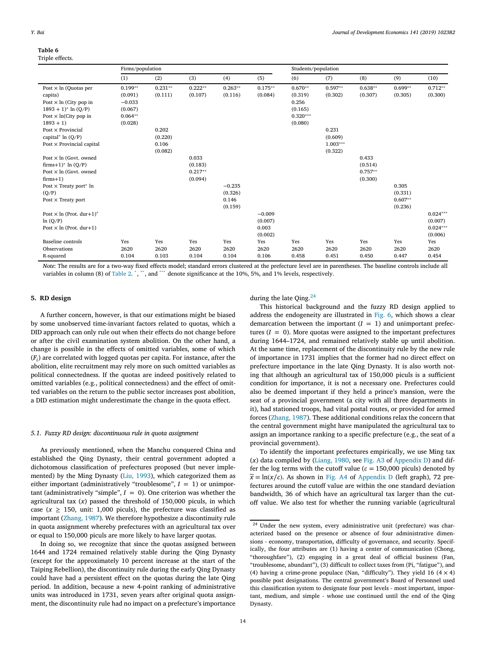Triple effects.

|                                             | Firms/population |           |           |           |           | Students/population |            |           |           |            |
|---------------------------------------------|------------------|-----------|-----------|-----------|-----------|---------------------|------------|-----------|-----------|------------|
|                                             | (1)              | (2)       | (3)       | (4)       | (5)       | (6)                 | (7)        | (8)       | (9)       | (10)       |
| Post $\times$ ln (Quotas per                | $0.199**$        | $0.231**$ | $0.222**$ | $0.263**$ | $0.175**$ | $0.670**$           | $0.597**$  | $0.638**$ | $0.699**$ | $0.712**$  |
| capita)                                     | (0.091)          | (0.111)   | (0.107)   | (0.116)   | (0.084)   | (0.319)             | (0.302)    | (0.307)   | (0.305)   | (0.300)    |
| Post $\times$ ln (City pop in               | $-0.033$         |           |           |           |           | 0.256               |            |           |           |            |
| $1893 + 1$ <sup>*</sup> ln (Q/P)            | (0.067)          |           |           |           |           | (0.165)             |            |           |           |            |
| Post $\times$ ln(City pop in                | $0.064**$        |           |           |           |           | $0.320***$          |            |           |           |            |
| $1893 + 1$                                  | (0.028)          |           |           |           |           | (0.080)             |            |           |           |            |
| Post $\times$ Provincial                    |                  | 0.202     |           |           |           |                     | 0.231      |           |           |            |
| capital* $ln (Q/P)$                         |                  | (0.220)   |           |           |           |                     | (0.609)    |           |           |            |
| Post $\times$ Provincial capital            |                  | 0.106     |           |           |           |                     | $1.003***$ |           |           |            |
|                                             |                  | (0.082)   |           |           |           |                     | (0.322)    |           |           |            |
| Post $\times$ ln (Govt. owned               |                  |           | 0.033     |           |           |                     |            | 0.433     |           |            |
| firms $+1$ <sup>*</sup> ln (Q/P)            |                  |           | (0.183)   |           |           |                     |            | (0.514)   |           |            |
| Post $\times$ ln (Govt. owned               |                  |           | $0.217**$ |           |           |                     |            | $0.757**$ |           |            |
| $firms+1)$                                  |                  |           | (0.094)   |           |           |                     |            | (0.300)   |           |            |
| Post $\times$ Treaty port <sup>*</sup> In   |                  |           |           | $-0.235$  |           |                     |            |           | 0.305     |            |
| (Q/P)                                       |                  |           |           | (0.326)   |           |                     |            |           | (0.331)   |            |
| Post $\times$ Treaty port                   |                  |           |           | 0.146     |           |                     |            |           | $0.607**$ |            |
|                                             |                  |           |           | (0.159)   |           |                     |            |           | (0.236)   |            |
| Post $\times$ ln (Prot. dur+1) <sup>*</sup> |                  |           |           |           | $-0.009$  |                     |            |           |           | $0.024***$ |
| ln (Q/P)                                    |                  |           |           |           | (0.007)   |                     |            |           |           | (0.007)    |
| Post $\times$ ln (Prot. dur+1)              |                  |           |           |           | 0.003     |                     |            |           |           | $0.024***$ |
|                                             |                  |           |           |           | (0.002)   |                     |            |           |           | (0.006)    |
| Baseline controls                           | Yes              | Yes       | Yes       | Yes       | Yes       | Yes                 | Yes        | Yes       | Yes       | Yes        |
| Observations                                | 2620             | 2620      | 2620      | 2620      | 2620      | 2620                | 2620       | 2620      | 2620      | 2620       |
| R-squared                                   | 0.104            | 0.103     | 0.104     | 0.104     | 0.106     | 0.458               | 0.451      | 0.450     | 0.447     | 0.454      |

*Note*: The results are for a two-way fixed effects model; standard errors clustered at the prefecture level are in parentheses. The baseline controls include all variables in column (8) of Table 2. , ",", and "" denote significance at the 10%, 5%, and 1% levels, respectively.

# **5. RD design**

A further concern, however, is that our estimations might be biased by some unobserved time-invariant factors related to quotas, which a DID approach can only rule out when their effects do not change before or after the civil examination system abolition. On the other hand, a change is possible in the effects of omitted variables, some of which (*Fi* ) are correlated with logged quotas per capita. For instance, after the abolition, elite recruitment may rely more on such omitted variables as political connectedness. If the quotas are indeed positively related to omitted variables (e.g., political connectedness) and the effect of omitted variables on the return to the public sector increases post abolition, a DID estimation might underestimate the change in the quota effect.

#### *5.1. Fuzzy RD design: discontinuous rule in quota assignment*

As previously mentioned, when the Manchu conquered China and established the Qing Dynasty, their central government adopted a dichotomous classification of prefectures proposed (but never implemented) by the Ming Dynasty (Liu, 1993), which categorized them as either important (administratively "troublesome",  $I = 1$ ) or unimportant (administratively "simple",  $I = 0$ ). One criterion was whether the agricultural tax (*x*) passed the threshold of 150,000 piculs, in which case ( $x \ge 150$ , unit: 1,000 piculs), the prefecture was classified as important (Zhang, 1987). We therefore hypothesize a discontinuity rule in quota assignment whereby prefectures with an agricultural tax over or equal to 150,000 piculs are more likely to have larger quotas.

In doing so, we recognize that since the quotas assigned between 1644 and 1724 remained relatively stable during the Qing Dynasty (except for the approximately 10 percent increase at the start of the Taiping Rebellion), the discontinuity rule during the early Qing Dynasty could have had a persistent effect on the quotas during the late Qing period. In addition, because a new 4-point ranking of administrative units was introduced in 1731, seven years after original quota assignment, the discontinuity rule had no impact on a prefecture's importance

during the late Qing.<sup>24</sup>

This historical background and the fuzzy RD design applied to address the endogeneity are illustrated in Fig. 6, which shows a clear demarcation between the important  $(I = 1)$  and unimportant prefectures  $(I = 0)$ . More quotas were assigned to the important prefectures during 1644–1724, and remained relatively stable up until abolition. At the same time, replacement of the discontinuity rule by the new rule of importance in 1731 implies that the former had no direct effect on prefecture importance in the late Qing Dynasty. It is also worth noting that although an agricultural tax of 150,000 piculs is a sufficient condition for importance, it is not a necessary one. Prefectures could also be deemed important if they held a prince's mansion, were the seat of a provincial government (a city with all three departments in it), had stationed troops, had vital postal routes, or provided for armed forces (Zhang, 1987). These additional conditions relax the concern that the central government might have manipulated the agricultural tax to assign an importance ranking to a specific prefecture (e.g., the seat of a provincial government).

To identify the important prefectures empirically, we use Ming tax (*x*) data compiled by (Liang, 1980, see Fig. A3 of Appendix D) and differ the log terms with the cutoff value  $(c = 150,000$  piculs) denoted by  $\widetilde{x} = \ln(x/c)$ . As shown in Fig. A4 of Appendix D (left graph), 72 prefectures around the cutoff value are within the one standard deviation bandwidth, 36 of which have an agricultural tax larger than the cutoff value. We also test for whether the running variable (agricultural

<sup>&</sup>lt;sup>24</sup> Under the new system, every administrative unit (prefecture) was characterized based on the presence or absence of four administrative dimensions - economy, transportation, difficulty of governance, and security. Specifically, the four attributes are (1) having a center of communication (Chong, "thoroughfare"), (2) engaging in a great deal of official business (Fan, "troublesome, abundant"), (3) difficult to collect taxes from (Pi, "fatigue"), and (4) having a crime-prone populace (Nan, "difficulty"). They yield 16  $(4 \times 4)$ possible post designations. The central government's Board of Personnel used this classification system to designate four post levels - most important, important, medium, and simple - whose use continued until the end of the Qing Dynasty.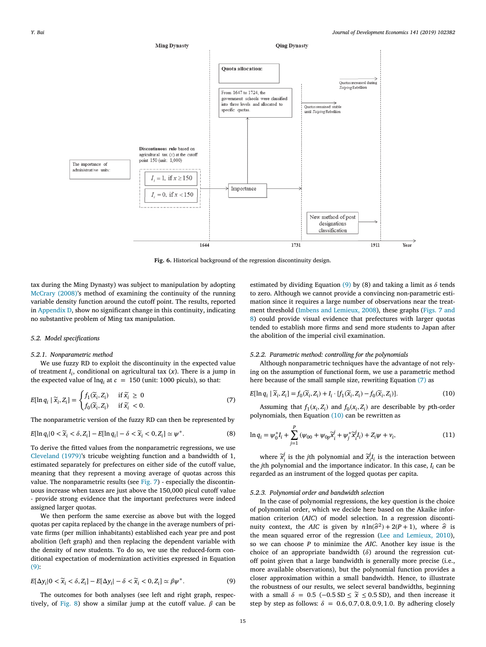

**Fig. 6.** Historical background of the regression discontinuity design.

tax during the Ming Dynasty) was subject to manipulation by adopting McCrary (2008)'s method of examining the continuity of the running variable density function around the cutoff point. The results, reported in Appendix D, show no significant change in this continuity, indicating no substantive problem of Ming tax manipulation.

#### *5.2. Model specifications*

#### *5.2.1. Nonparametric method*

We use fuzzy RD to exploit the discontinuity in the expected value of treatment *I i* , conditional on agricultural tax (*x*). There is a jump in the expected value of  $lnq_i$  at  $c = 150$  (unit: 1000 piculs), so that:

$$
E[\ln q_i \mid \widetilde{x}_i, Z_i] = \begin{cases} f_1(\widetilde{x}_i, Z_i) & \text{if } \widetilde{x}_i \ge 0\\ f_0(\widetilde{x}_i, Z_i) & \text{if } \widetilde{x}_i < 0. \end{cases}
$$
(7)

The nonparametric version of the fuzzy RD can then be represented by

$$
E[\ln q_i|0<\widetilde{x}_i<\delta,Z_i]-E[\ln q_i|-\delta<\widetilde{x}_i<0,Z_i]\simeq\psi^*.
$$
\n
$$
(8)
$$

To derive the fitted values from the nonparametric regressions, we use Cleveland (1979)'s tricube weighting function and a bandwidth of 1, estimated separately for prefectures on either side of the cutoff value, meaning that they represent a moving average of quotas across this value. The nonparametric results (see Fig. 7) - especially the discontinuous increase when taxes are just above the 150,000 picul cutoff value - provide strong evidence that the important prefectures were indeed assigned larger quotas.

We then perform the same exercise as above but with the logged quotas per capita replaced by the change in the average numbers of private firms (per million inhabitants) established each year pre and post abolition (left graph) and then replacing the dependent variable with the density of new students. To do so, we use the reduced-form conditional expectation of modernization activities expressed in Equation (9):

$$
E[\Delta y_i|0 < \widetilde{x}_i < \delta, Z_i] - E[\Delta y_i| - \delta < \widetilde{x}_i < 0, Z_i] \simeq \beta \psi^*.\tag{9}
$$

The outcomes for both analyses (see left and right graph, respectively, of Fig. 8) show a similar jump at the cutoff value.  $\beta$  can be estimated by dividing Equation (9) by (8) and taking a limit as  $\delta$  tends to zero. Although we cannot provide a convincing non-parametric estimation since it requires a large number of observations near the treatment threshold (Imbens and Lemieux, 2008), these graphs (Figs. 7 and 8) could provide visual evidence that prefectures with larger quotas tended to establish more firms and send more students to Japan after the abolition of the imperial civil examination.

# *5.2.2. Parametric method: controlling for the polynomials*

Although nonparametric techniques have the advantage of not relying on the assumption of functional form, we use a parametric method here because of the small sample size, rewriting Equation (7) as

$$
E[\ln q_i \mid \widetilde{x}_i, Z_i] = f_0(\widetilde{x}_i, Z_i) + I_i \cdot [f_1(\widetilde{x}_i, Z_i) - f_0(\widetilde{x}_i, Z_i)].
$$
\n(10)

Assuming that  $f_1(x_i, Z_i)$  and  $f_0(x_i, Z_i)$  are describable by *p*th-order polynomials, then Equation (10) can be rewritten as

$$
\ln q_i = \psi_0^* I_i + \sum_{j=1}^P (\psi_{00} + \psi_{0p} \tilde{x}_i^j + \psi_j^* \tilde{x}_i^j I_i) + Z_i \psi + \nu_i,
$$
\n(11)

where  $\tilde{x}_i^j$  is the *j*th polynomial and  $\tilde{x}_i^j I_i$  is the interaction between the *j*th polynomial and the importance indicator. In this case,  $I_i$  can be regarded as an instrument of the logged quotas per capita.

#### *5.2.3. Polynomial order and bandwidth selection*

In the case of polynomial regressions, the key question is the choice of polynomial order, which we decide here based on the Akaike information criterion (*AIC*) of model selection. In a regression discontinuity context, the *AIC* is given by  $n \ln(\hat{\sigma}^2) + 2(p+1)$ , where  $\hat{\sigma}$  is the mean squared error of the regression (Lee and Lemieux, 2010), so we can choose *P* to minimize the *AIC*. Another key issue is the choice of an appropriate bandwidth  $(\delta)$  around the regression cutoff point given that a large bandwidth is generally more precise (i.e., more available observations), but the polynomial function provides a closer approximation within a small bandwidth. Hence, to illustrate the robustness of our results, we select several bandwidths, beginning with a small  $\delta = 0.5$  (-0.5 SD  $\leq \tilde{x} \leq 0.5$  SD), and then increase it step by step as follows:  $\delta = 0.6, 0.7, 0.8, 0.9, 1.0$ . By adhering closely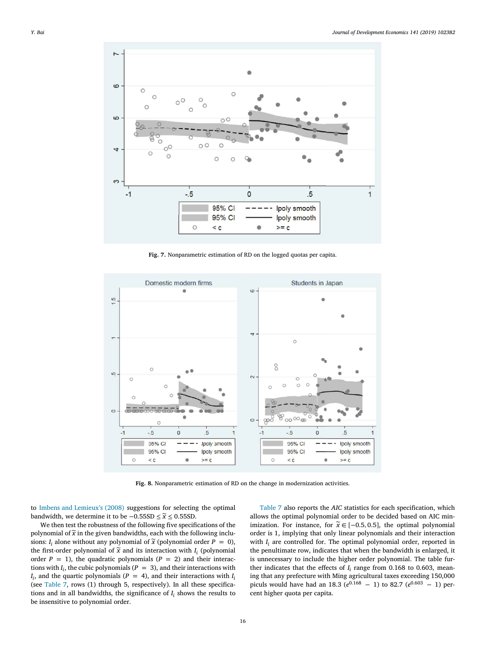

**Fig. 7.** Nonparametric estimation of RD on the logged quotas per capita.



**Fig. 8.** Nonparametric estimation of RD on the change in modernization activities.

to Imbens and Lemieux's (2008) suggestions for selecting the optimal bandwidth, we determine it to be  $-0.55SD ≤ \tilde{x} ≤ 0.55SD$ .

We then test the robustness of the following five specifications of the polynomial of  $\widetilde{x}$  in the given bandwidths, each with the following inclusions: *I<sub>i</sub>* alone without any polynomial of  $\tilde{x}$  (polynomial order *P* = 0), the first-order polynomial of  $\widetilde{x}$  and its interaction with  $I_i$  (polynomial order  $P = 1$ ), the quadratic polynomials  $(P = 2)$  and their interactions with  $I_i$ , the cubic polynomials ( $P = 3$ ), and their interactions with  $I_i$ , and the quartic polynomials (*P* = 4), and their interactions with  $I_i$ (see Table 7, rows (1) through 5, respectively). In all these specifications and in all bandwidths, the significance of  $I_i$  shows the results to be insensitive to polynomial order.

Table 7 also reports the *AIC* statistics for each specification, which allows the optimal polynomial order to be decided based on AIC minimization. For instance, for  $\widetilde{x} \in [-0.5, 0.5]$ , the optimal polynomial order is 1, implying that only linear polynomials and their interaction with  $I_i$  are controlled for. The optimal polynomial order, reported in the penultimate row, indicates that when the bandwidth is enlarged, it is unnecessary to include the higher order polynomial. The table further indicates that the effects of  $I_i$  range from 0.168 to 0.603, meaning that any prefecture with Ming agricultural taxes exceeding 150,000 piculs would have had an 18.3 ( $e^{0.168}$  - 1) to 82.7 ( $e^{0.603}$  - 1) percent higher quota per capita.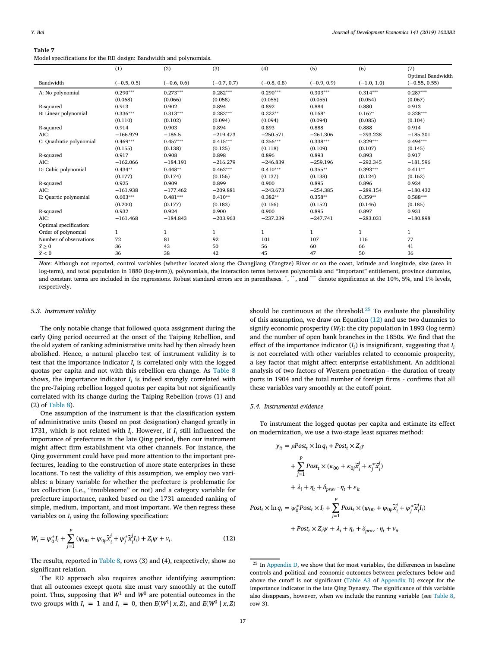| Model specifications for the RD design: Bandwidth and polynomials. |  |  |  |
|--------------------------------------------------------------------|--|--|--|
|                                                                    |  |  |  |

|                         | (1)           | (2)           | (3)           | (4)           | (5)           | (6)           | (7)<br>Optimal Bandwidth |
|-------------------------|---------------|---------------|---------------|---------------|---------------|---------------|--------------------------|
| Bandwidth               | $(-0.5, 0.5)$ | $(-0.6, 0.6)$ | $(-0.7, 0.7)$ | $(-0.8, 0.8)$ | $(-0.9, 0.9)$ | $(-1.0, 1.0)$ | $(-0.55, 0.55)$          |
| A: No polynomial        | $0.290***$    | $0.273***$    | $0.282***$    | $0.290***$    | $0.303***$    | $0.314***$    | $0.287***$               |
|                         | (0.068)       | (0.066)       | (0.058)       | (0.055)       | (0.055)       | (0.054)       | (0.067)                  |
| R-squared               | 0.913         | 0.902         | 0.894         | 0.892         | 0.884         | 0.880         | 0.913                    |
| B: Linear polynomial    | $0.336***$    | $0.313***$    | $0.282***$    | $0.222**$     | $0.168*$      | $0.167*$      | $0.328***$               |
|                         | (0.110)       | (0.102)       | (0.094)       | (0.094)       | (0.094)       | (0.085)       | (0.104)                  |
| R-squared               | 0.914         | 0.903         | 0.894         | 0.893         | 0.888         | 0.888         | 0.914                    |
| AIC:                    | $-166.979$    | $-186.5$      | $-219.473$    | $-250.571$    | $-261.306$    | $-293.238$    | $-185.301$               |
| C: Quadratic polynomial | $0.469***$    | $0.457***$    | $0.415***$    | $0.356***$    | $0.338***$    | $0.329***$    | $0.494***$               |
|                         | (0.155)       | (0.138)       | (0.125)       | (0.118)       | (0.109)       | (0.107)       | (0.145)                  |
| R-squared               | 0.917         | 0.908         | 0.898         | 0.896         | 0.893         | 0.893         | 0.917                    |
| AIC:                    | $-162.066$    | $-184.191$    | $-216.279$    | $-246.839$    | $-259.196$    | $-292.345$    | $-181.596$               |
| D: Cubic polynomial     | $0.434**$     | $0.448**$     | $0.462***$    | $0.410***$    | $0.355***$    | $0.393***$    | $0.411**$                |
|                         | (0.177)       | (0.174)       | (0.156)       | (0.137)       | (0.138)       | (0.124)       | (0.162)                  |
| R-squared               | 0.925         | 0.909         | 0.899         | 0.900         | 0.895         | 0.896         | 0.924                    |
| AIC:                    | $-161.938$    | $-177.462$    | $-209.881$    | $-243.673$    | $-254.385$    | $-289.154$    | $-180.432$               |
| E: Quartic polynomial   | $0.603***$    | $0.481***$    | $0.410**$     | $0.382**$     | $0.358**$     | $0.359**$     | $0.588***$               |
|                         | (0.200)       | (0.177)       | (0.183)       | (0.156)       | (0.152)       | (0.146)       | (0.185)                  |
| R-squared               | 0.932         | 0.924         | 0.900         | 0.900         | 0.895         | 0.897         | 0.931                    |
| AIC:                    | $-161.468$    | $-184.843$    | $-203.963$    | $-237.239$    | $-247.741$    | $-283.031$    | $-180.898$               |
| Optimal specification:  |               |               |               |               |               |               |                          |
| Order of polynomial     | $\mathbf{1}$  | $\mathbf{1}$  | $\mathbf{1}$  | $\mathbf{1}$  | $\mathbf{1}$  | $\mathbf{1}$  | $\mathbf{1}$             |
| Number of observations  | 72            | 81            | 92            | 101           | 107           | 116           | 77                       |
| $\widetilde{x} \geq 0$  | 36            | 43            | 50            | 56            | 60            | 66            | 41                       |
| $\widetilde{x}$ < 0     | 36            | 38            | 42            | 45            | 47            | 50            | 36                       |

*Note*: Although not reported, control variables (whether located along the Changjiang (Yangtze) River or on the coast, latitude and longitude, size (area in log-term), and total population in 1880 (log-term)), polynomials, the interaction terms between polynomials and "Important" entitlement, province dummies, and constant terms are included in the regressions. Robust standard errors are in parentheses. \*, \*\*, and \*\*\* denote significance at the 10%, 5%, and 1% levels, respectively.

#### *5.3. Instrument validity*

The only notable change that followed quota assignment during the early Qing period occurred at the onset of the Taiping Rebellion, and the old system of ranking administrative units had by then already been abolished. Hence, a natural placebo test of instrument validity is to test that the importance indicator  $I_i$  is correlated only with the logged quotas per capita and not with this rebellion era change. As Table 8 shows, the importance indicator  $I_i$  is indeed strongly correlated with the pre-Taiping rebellion logged quotas per capita but not significantly correlated with its change during the Taiping Rebellion (rows (1) and (2) of Table 8).

One assumption of the instrument is that the classification system of administrative units (based on post designation) changed greatly in 1731, which is not related with  $I_i$ . However, if  $I_i$  still influenced the importance of prefectures in the late Qing period, then our instrument might affect firm establishment via other channels. For instance, the Qing government could have paid more attention to the important prefectures, leading to the construction of more state enterprises in these locations. To test the validity of this assumption, we employ two variables: a binary variable for whether the prefecture is problematic for tax collection (i.e., "troublesome" or not) and a category variable for prefecture importance, ranked based on the 1731 amended ranking of simple, medium, important, and most important. We then regress these variables on  $I_i$  using the following specification:

$$
W_i = \psi_0^* I_i + \sum_{j=1}^P (\psi_{00} + \psi_{0p} \tilde{x}_i^j + \psi_j^* \tilde{x}_i^j I_i) + Z_i \psi + \nu_i.
$$
 (12)

The results, reported in Table 8, rows (3) and (4), respectively, show no significant relation.

The RD approach also requires another identifying assumption: that all outcomes except quota size must vary smoothly at the cutoff point. Thus, supposing that *W*<sup>1</sup> and *W*<sup>0</sup> are potential outcomes in the two groups with  $I_i = 1$  and  $I_i = 0$ , then  $E(W^1 | x, Z)$ , and  $E(W^0 | x, Z)$ 

should be continuous at the threshold.<sup>25</sup> To evaluate the plausibility of this assumption, we draw on Equation (12) and use two dummies to signify economic prosperity (*W<sup>i</sup>* ): the city population in 1893 (log term) and the number of open bank branches in the 1850s. We find that the effect of the importance indicator  $(I_i)$  is insignificant, suggesting that  $I_i$ is not correlated with other variables related to economic prosperity, a key factor that might affect enterprise establishment. An additional analysis of two factors of Western penetration - the duration of treaty ports in 1904 and the total number of foreign firms - confirms that all these variables vary smoothly at the cutoff point.

# *5.4. Instrumental evidence*

To instrument the logged quotas per capita and estimate its effect on modernization, we use a two-stage least squares method:

$$
y_{it} = \rho Post_t \times \ln q_i + Post_t \times Z_i \gamma
$$
  
+ 
$$
\sum_{j=1}^{P} Post_t \times (\kappa_{00} + \kappa_{0j} \widetilde{x}_i^j + \kappa_j^* \widetilde{x}_i^j)
$$
  
+ 
$$
\lambda_i + \eta_t + \delta_{prov} \cdot \eta_t + \varepsilon_{it}
$$
  

$$
Post_t \times \ln q_i = \psi_0^* Post_t \times I_t + \sum_{j=1}^{P} Post_t \times (\psi_{00} + \psi_{0p} \widetilde{x}_i^j + \psi_j^* \widetilde{x}_i^j I_t)
$$
  
+ 
$$
Post_t \times Z_i \psi + \lambda_i + \eta_t + \delta_{prov} \cdot \eta_t + \nu_{it}
$$

 $25$  In Appendix D, we show that for most variables, the differences in baseline controls and political and economic outcomes between prefectures below and above the cutoff is not significant (Table A3 of Appendix D) except for the importance indicator in the late Qing Dynasty. The significance of this variable also disappears, however, when we include the running variable (see Table 8, row 3).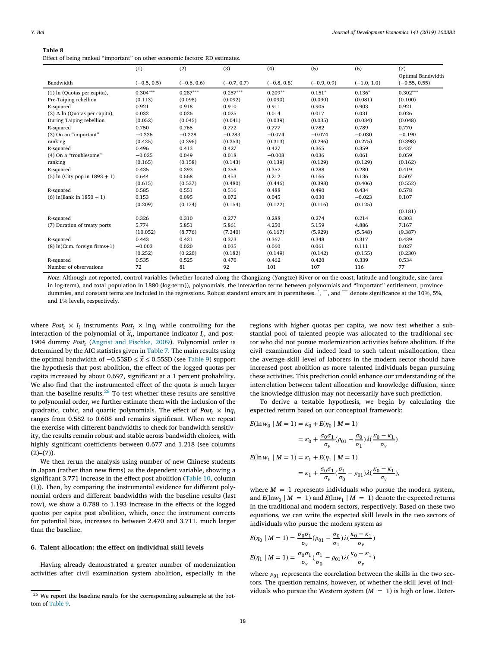| ави |  |
|-----|--|
|-----|--|

Effect of being ranked "important" on other economic factors: RD estimates.

|                                      | (1)           | (2)           | (3)           | (4)           | (5)           | (6)           | (7)<br>Optimal Bandwidth |
|--------------------------------------|---------------|---------------|---------------|---------------|---------------|---------------|--------------------------|
| Bandwidth                            | $(-0.5, 0.5)$ | $(-0.6, 0.6)$ | $(-0.7, 0.7)$ | $(-0.8, 0.8)$ | $(-0.9, 0.9)$ | $(-1.0, 1.0)$ | $(-0.55, 0.55)$          |
| (1) ln (Quotas per capita),          | $0.304***$    | $0.287***$    | $0.257***$    | $0.209**$     | $0.151*$      | $0.136*$      | $0.302***$               |
| Pre-Taiping rebellion                | (0.113)       | (0.098)       | (0.092)       | (0.090)       | (0.090)       | (0.081)       | (0.100)                  |
| R-squared                            | 0.921         | 0.918         | 0.910         | 0.911         | 0.905         | 0.903         | 0.921                    |
| (2) $\Delta$ ln (Quotas per capita), | 0.032         | 0.026         | 0.025         | 0.014         | 0.017         | 0.031         | 0.026                    |
| During Taiping rebellion             | (0.052)       | (0.045)       | (0.041)       | (0.039)       | (0.035)       | (0.034)       | (0.048)                  |
| R-squared                            | 0.750         | 0.765         | 0.772         | 0.777         | 0.782         | 0.789         | 0.770                    |
| (3) On an "important"                | $-0.336$      | $-0.228$      | $-0.283$      | $-0.074$      | $-0.074$      | $-0.030$      | $-0.190$                 |
| ranking                              | (0.425)       | (0.396)       | (0.353)       | (0.313)       | (0.296)       | (0.275)       | (0.398)                  |
| R-squared                            | 0.496         | 0.413         | 0.427         | 0.427         | 0.365         | 0.359         | 0.437                    |
| (4) On a "troublesome"               | $-0.025$      | 0.049         | 0.018         | $-0.008$      | 0.036         | 0.061         | 0.059                    |
| ranking                              | (0.165)       | (0.158)       | (0.143)       | (0.139)       | (0.129)       | (0.129)       | (0.162)                  |
| R-squared                            | 0.435         | 0.393         | 0.358         | 0.352         | 0.288         | 0.280         | 0.419                    |
| $(5) \ln (City pop in 1893 + 1)$     | 0.644         | 0.668         | 0.453         | 0.212         | 0.166         | 0.136         | 0.507                    |
|                                      | (0.615)       | (0.537)       | (0.480)       | (0.446)       | (0.398)       | (0.406)       | (0.552)                  |
| R-squared                            | 0.585         | 0.551         | 0.516         | 0.488         | 0.490         | 0.434         | 0.578                    |
| $(6)$ ln(Bank in 1850 + 1)           | 0.153         | 0.095         | 0.072         | 0.045         | 0.030         | $-0.023$      | 0.107                    |
|                                      | (0.209)       | (0.174)       | (0.154)       | (0.122)       | (0.116)       | (0.125)       |                          |
|                                      |               |               |               |               |               |               | (0.181)                  |
| R-squared                            | 0.326         | 0.310         | 0.277         | 0.288         | 0.274         | 0.214         | 0.303                    |
| (7) Duration of treaty ports         | 5.774         | 5.851         | 5.861         | 4.250         | 5.159         | 4.886         | 7.167                    |
|                                      | (10.052)      | (8.776)       | (7.340)       | (6.167)       | (5.929)       | (5.548)       | (9.387)                  |
| R-squared                            | 0.443         | 0.421         | 0.373         | 0.367         | 0.348         | 0.317         | 0.439                    |
| $(8)$ ln(Cum. foreign firms $+1$ )   | $-0.003$      | 0.020         | 0.035         | 0.060         | 0.061         | 0.111         | 0.027                    |
|                                      | (0.252)       | (0.220)       | (0.182)       | (0.149)       | (0.142)       | (0.155)       | (0.230)                  |
| R-squared                            | 0.535         | 0.525         | 0.470         | 0.462         | 0.420         | 0.339         | 0.534                    |
| Number of observations               | 72            | 81            | 92            | 101           | 107           | 116           | 77                       |

*Note*: Although not reported, control variables (whether located along the Changjiang (Yangtze) River or on the coast, latitude and longitude, size (area in log-term), and total population in 1880 (log-term)), polynomials, the interaction terms between polynomials and "Important" entitlement, province dummies, and constant terms are included in the regressions. Robust standard errors are in parentheses. `, `\*, and \*\*\* denote significance at the 10%, 5%, and 1% levels, respectively.

where  $Post_t \times I_i$  instruments  $Post_t \times \ln q_i$  while controlling for the interaction of the polynomial of  $\widetilde{x}_i$ , importance indicator  $I_i$ , and post-1904 dummy *Post<sup>t</sup>* (Angrist and Pischke, 2009). Polynomial order is determined by the AIC statistics given in Table 7. The main results using the optimal bandwidth of −0.55SD ≤ *̃x* ≤ 0.55SD (see Table 9) support the hypothesis that post abolition, the effect of the logged quotas per capita increased by about 0.697, significant at a 1 percent probability. We also find that the instrumented effect of the quota is much larger than the baseline results.<sup>26</sup> To test whether these results are sensitive to polynomial order, we further estimate them with the inclusion of the quadratic, cubic, and quartic polynomials. The effect of *Post<sub>t</sub>*  $\times$  ln*q<sub>i</sub>* ranges from 0.582 to 0.608 and remains significant. When we repeat the exercise with different bandwidths to check for bandwidth sensitivity, the results remain robust and stable across bandwidth choices, with highly significant coefficients between 0.677 and 1.218 (see columns  $(2)-(7)$ ).

We then rerun the analysis using number of new Chinese students in Japan (rather than new firms) as the dependent variable, showing a significant 3.771 increase in the effect post abolition (Table 10, column (1)). Then, by comparing the instrumental evidence for different polynomial orders and different bandwidths with the baseline results (last row), we show a 0.788 to 1.193 increase in the effects of the logged quotas per capita post abolition, which, once the instrument corrects for potential bias, increases to between 2.470 and 3.711, much larger than the baseline.

# **6. Talent allocation: the effect on individual skill levels**

Having already demonstrated a greater number of modernization activities after civil examination system abolition, especially in the regions with higher quotas per capita, we now test whether a substantial pool of talented people was allocated to the traditional sector who did not pursue modernization activities before abolition. If the civil examination did indeed lead to such talent misallocation, then the average skill level of laborers in the modern sector should have increased post abolition as more talented individuals began pursuing these activities. This prediction could enhance our understanding of the interrelation between talent allocation and knowledge diffusion, since the knowledge diffusion may not necessarily have such prediction.

To derive a testable hypothesis, we begin by calculating the expected return based on our conceptual framework:

$$
E(\ln w_0\mid M=1)=\kappa_0+E(\eta_0\mid M=1)
$$

$$
= \kappa_0 + \frac{\sigma_0 \sigma_1}{\sigma_v} (\rho_{01} - \frac{\sigma_0}{\sigma_1}) \lambda(\frac{\kappa_0 - \kappa_1}{\sigma_v})
$$

 $E(\ln w_1 \mid M = 1) = \kappa_1 + E(\eta_1 \mid M = 1)$ 

$$
= \kappa_1 + \frac{\sigma_0 \sigma_1}{\sigma_v} (\frac{\sigma_1}{\sigma_0} - \rho_{01}) \lambda (\frac{\kappa_0 - \kappa_1}{\sigma_v}),
$$

where  $M = 1$  represents individuals who pursue the modern system, and  $E(\ln w_0 \mid M = 1)$  and  $E(\ln w_1 \mid M = 1)$  denote the expected returns in the traditional and modern sectors, respectively. Based on these two equations, we can write the expected skill levels in the two sectors of individuals who pursue the modern system as

$$
E(\eta_0 \mid M = 1) = \frac{\sigma_0 \sigma_1}{\sigma_v} (\rho_{01} - \frac{\sigma_0}{\sigma_1}) \lambda(\frac{\kappa_0 - \kappa_1}{\sigma_v})
$$

$$
E(\eta_1 \mid M = 1) = \frac{\sigma_0 \sigma_1}{\sigma_v} (\frac{\sigma_1}{\sigma_0} - \rho_{01}) \lambda(\frac{\kappa_0 - \kappa_1}{\sigma_v})
$$

where  $\rho_{01}$  represents the correlation between the skills in the two sectors. The question remains, however, of whether the skill level of individuals who pursue the Western system  $(M = 1)$  is high or low. Deter-

<sup>&</sup>lt;sup>26</sup> We report the baseline results for the corresponding subsample at the bottom of Table 9.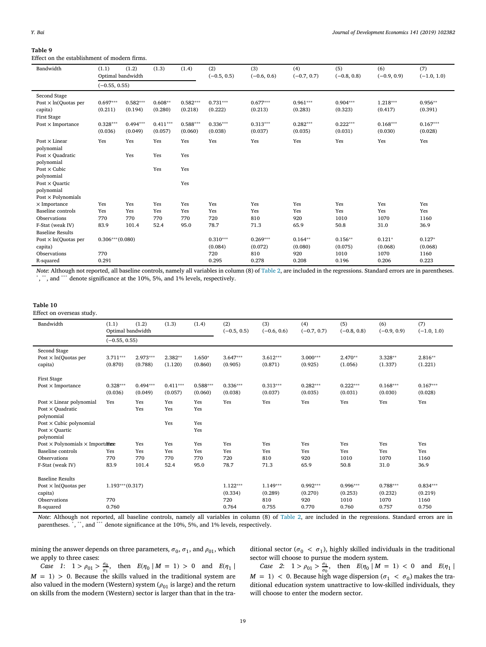Effect on the establishment of modern firms.

| Bandwidth                                        | (1.1)             | (1.2)             | (1.3)      | (1.4)      | (2)           | (3)           | (4)           | (5)           | (6)           | (7)           |
|--------------------------------------------------|-------------------|-------------------|------------|------------|---------------|---------------|---------------|---------------|---------------|---------------|
|                                                  |                   | Optimal bandwidth |            |            | $(-0.5, 0.5)$ | $(-0.6, 0.6)$ | $(-0.7, 0.7)$ | $(-0.8, 0.8)$ | $(-0.9, 0.9)$ | $(-1.0, 1.0)$ |
|                                                  | $(-0.55, 0.55)$   |                   |            |            |               |               |               |               |               |               |
| Second Stage                                     |                   |                   |            |            |               |               |               |               |               |               |
| Post $\times$ ln(Quotas per                      | $0.697***$        | $0.582***$        | $0.608**$  | $0.582***$ | $0.731***$    | $0.677***$    | $0.961***$    | $0.904***$    | $1.218***$    | $0.956**$     |
| capita)                                          | (0.211)           | (0.194)           | (0.280)    | (0.218)    | (0.222)       | (0.213)       | (0.283)       | (0.323)       | (0.417)       | (0.391)       |
| First Stage                                      |                   |                   |            |            |               |               |               |               |               |               |
| $Post \times Importance$                         | $0.328***$        | $0.494***$        | $0.411***$ | $0.588***$ | $0.336***$    | $0.313***$    | $0.282***$    | $0.222***$    | $0.168***$    | $0.167***$    |
|                                                  | (0.036)           | (0.049)           | (0.057)    | (0.060)    | (0.038)       | (0.037)       | (0.035)       | (0.031)       | (0.030)       | (0.028)       |
| Post $\times$ Linear                             | Yes               | Yes               | Yes        | Yes        | Yes           | Yes           | Yes           | Yes           | Yes           | Yes           |
| polynomial                                       |                   |                   |            |            |               |               |               |               |               |               |
| Post × Quadratic                                 |                   | Yes               | Yes        | Yes        |               |               |               |               |               |               |
| polynomial                                       |                   |                   |            |            |               |               |               |               |               |               |
| Post $\times$ Cubic                              |                   |                   | Yes        | Yes        |               |               |               |               |               |               |
| polynomial                                       |                   |                   |            |            |               |               |               |               |               |               |
| Post × Quartic                                   |                   |                   |            | Yes        |               |               |               |               |               |               |
| polynomial                                       |                   |                   |            |            |               |               |               |               |               |               |
| Post $\times$ Polynomials                        |                   |                   |            |            |               |               |               |               |               |               |
| $\times$ Importance                              | Yes               | Yes               | Yes        | Yes        | Yes           | Yes           | Yes           | Yes           | Yes           | Yes           |
| Baseline controls                                | Yes               | Yes               | Yes        | Yes        | Yes           | Yes           | Yes           | Yes           | Yes           | Yes           |
| Observations                                     | 770               | 770               | 770        | 770        | 720           | 810           | 920           | 1010          | 1070          | 1160          |
| F-Stat (weak IV)                                 | 83.9              | 101.4             | 52.4       | 95.0       | 78.7          | 71.3          | 65.9          | 50.8          | 31.0          | 36.9          |
| <b>Baseline Results</b>                          |                   |                   |            |            |               |               |               |               |               |               |
| $\text{Post} \times \text{ln}(\text{Quotas per}$ | $0.306***(0.080)$ |                   |            |            | $0.310***$    | $0.269***$    | $0.164**$     | $0.156**$     | $0.121*$      | $0.127*$      |
| capita)                                          |                   |                   |            |            | (0.084)       | (0.072)       | (0.080)       | (0.075)       | (0.068)       | (0.068)       |
| Observations                                     | 770               |                   |            |            | 720           | 810           | 920           | 1010          | 1070          | 1160          |
| R-squared                                        | 0.291             |                   |            |            | 0.295         | 0.278         | 0.208         | 0.196         | 0.206         | 0.223         |

*Note*: Although not reported, all baseline controls, namely all variables in column (8) of Table 2, are included in the regressions. Standard errors are in parentheses. \*, \*\*, and \*\*\* denote significance at the 10%, 5%, and 1% levels, respectively.

#### **Table 10**

Effect on overseas study.

| Bandwidth                                                   | (1.1)<br>Optimal bandwidth | (1.2)      | (1.3)      | (1.4)      | (2)<br>$(-0.5, 0.5)$ | (3)<br>$(-0.6, 0.6)$ | (4)<br>$(-0.7, 0.7)$ | (5)<br>$(-0.8, 0.8)$ | (6)<br>$(-0.9, 0.9)$ | (7)<br>$(-1.0, 1.0)$ |
|-------------------------------------------------------------|----------------------------|------------|------------|------------|----------------------|----------------------|----------------------|----------------------|----------------------|----------------------|
|                                                             | $(-0.55, 0.55)$            |            |            |            |                      |                      |                      |                      |                      |                      |
| Second Stage                                                |                            |            |            |            |                      |                      |                      |                      |                      |                      |
| Post $\times$ ln(Quotas per                                 | $3.711***$                 | $2.973***$ | $2.382**$  | $1.650*$   | $3.647***$           | $3.612***$           | $3.000***$           | $2.470**$            | 3.328**              | $2.816**$            |
| capita)                                                     | (0.870)                    | (0.788)    | (1.120)    | (0.860)    | (0.905)              | (0.871)              | (0.925)              | (1.056)              | (1.337)              | (1.221)              |
| <b>First Stage</b>                                          |                            |            |            |            |                      |                      |                      |                      |                      |                      |
| Post $\times$ Importance                                    | $0.328***$                 | $0.494***$ | $0.411***$ | $0.588***$ | $0.336***$           | $0.313***$           | $0.282***$           | $0.222***$           | $0.168***$           | $0.167***$           |
|                                                             | (0.036)                    | (0.049)    | (0.057)    | (0.060)    | (0.038)              | (0.037)              | (0.035)              | (0.031)              | (0.030)              | (0.028)              |
| Post $\times$ Linear polynomial                             | Yes                        | Yes        | Yes        | Yes        | Yes                  | Yes                  | Yes                  | Yes                  | Yes                  | Yes                  |
| Post $\times$ Quadratic                                     |                            | Yes        | Yes        | Yes        |                      |                      |                      |                      |                      |                      |
| polynomial                                                  |                            |            |            |            |                      |                      |                      |                      |                      |                      |
| Post $\times$ Cubic polynomial                              |                            |            | Yes        | Yes        |                      |                      |                      |                      |                      |                      |
| Post × Quartic                                              |                            |            |            | Yes        |                      |                      |                      |                      |                      |                      |
| polynomial<br>Post $\times$ Polynomials $\times$ Importance |                            | Yes        | Yes        | Yes        | Yes                  | Yes                  | Yes                  | Yes                  | Yes                  | Yes                  |
| Baseline controls                                           | Yes                        | Yes        | Yes        | Yes        | Yes                  | Yes                  | Yes                  | Yes                  | Yes                  | Yes                  |
| Observations                                                | 770                        | 770        | 770        | 770        | 720                  | 810                  | 920                  | 1010                 | 1070                 | 1160                 |
| F-Stat (weak IV)                                            | 83.9                       | 101.4      | 52.4       | 95.0       | 78.7                 | 71.3                 | 65.9                 | 50.8                 | 31.0                 | 36.9                 |
|                                                             |                            |            |            |            |                      |                      |                      |                      |                      |                      |
| <b>Baseline Results</b>                                     |                            |            |            |            |                      |                      |                      |                      |                      |                      |
| Post $\times$ ln(Quotas per                                 | $1.193***(0.317)$          |            |            |            | $1.122***$           | $1.149***$           | $0.992***$           | $0.996***$           | $0.788***$           | $0.834***$           |
| capita)                                                     |                            |            |            |            | (0.334)              | (0.289)              | (0.270)              | (0.253)              | (0.232)              | (0.219)              |
| Observations                                                | 770                        |            |            |            | 720                  | 810                  | 920                  | 1010                 | 1070                 | 1160                 |
| R-squared                                                   | 0.760                      |            |            |            | 0.764                | 0.755                | 0.770                | 0.760                | 0.757                | 0.750                |

*Note*: Although not reported, all baseline controls, namely all variables in column (8) of Table 2, are included in the regressions. Standard errors are in parentheses. \*, \*\*, and \*\*\* denote significance at the 10%, 5%, and 1% levels, respectively.

mining the answer depends on three parameters,  $\sigma_0$ ,  $\sigma_1$ , and  $\rho_{01}$ , which we apply to three cases:

ditional sector ( $\sigma_0 < \sigma_1$ ), highly skilled individuals in the traditional sector will choose to pursue the modern system.

*Case 1*:  $1 > \rho_{01} > \frac{\sigma_0}{\sigma_1}$ , then  $E(\eta_0 | M = 1) > 0$  and  $E(\eta_1 |$  $M = 1$ ) > 0. Because the skills valued in the traditional system are also valued in the modern (Western) system ( $\rho_{01}$  is large) and the return on skills from the modern (Western) sector is larger than that in the tra-

*Case 2*:  $1 > \rho_{01} > \frac{\sigma_1}{\sigma_0}$ , then  $E(\eta_0 \mid M = 1) < 0$  and  $E(\eta_1 \mid M = 1)$  $M = 1$  < 0. Because high wage dispersion ( $\sigma_1 < \sigma_0$ ) makes the traditional education system unattractive to low-skilled individuals, they will choose to enter the modern sector.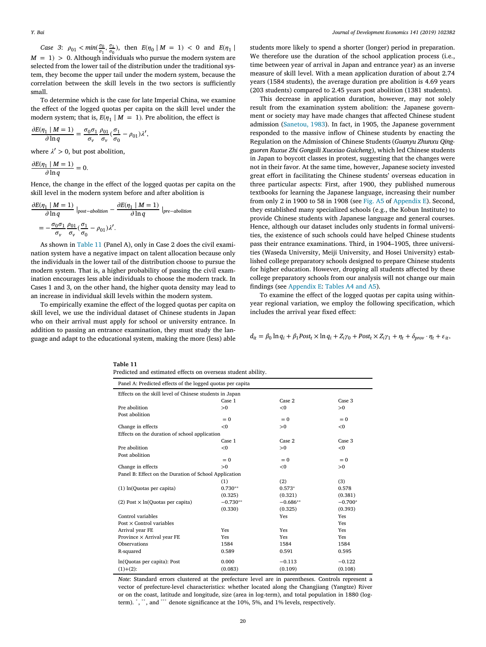*Case 3:*  $\rho_{01} < \min(\frac{\sigma_0}{\sigma_1}, \frac{\sigma_1}{\sigma_0})$ , then  $E(\eta_0 \mid M = 1) < 0$  and  $E(\eta_1 \mid M = 1)$  $M = 1$ ) > 0. Although individuals who pursue the modern system are selected from the lower tail of the distribution under the traditional system, they become the upper tail under the modern system, because the correlation between the skill levels in the two sectors is sufficiently small.

To determine which is the case for late Imperial China, we examine the effect of the logged quotas per capita on the skill level under the modern system; that is,  $E(\eta_1 \mid M = 1)$ . Pre abolition, the effect is

$$
\frac{\partial E(\eta_1 \mid M=1)}{\partial \ln q} = \frac{\sigma_0 \sigma_1}{\sigma_v} \frac{\rho_{01}}{\sigma_v} \left(\frac{\sigma_1}{\sigma_0} - \rho_{01}\right) \lambda',
$$

where  $\lambda' > 0$ , but post abolition,

$$
\frac{\partial E(\eta_1 \mid M=1)}{\partial \ln q} = 0.
$$

Hence, the change in the effect of the logged quotas per capita on the skill level in the modern system before and after abolition is

$$
\frac{\partial E(\eta_1 \mid M=1)}{\partial \ln q} \Big|_{\text{post–abelition}} - \frac{\partial E(\eta_1 \mid M=1)}{\partial \ln q} \Big|_{\text{pre–abelition}}
$$
  
= 
$$
-\frac{\sigma_0 \sigma_1}{\sigma_\nu} \frac{\rho_{01}}{\sigma_\nu} \frac{(\sigma_1}{\sigma_0} - \rho_{01}) \lambda'.
$$

As shown in Table 11 (Panel A), only in Case 2 does the civil examination system have a negative impact on talent allocation because only the individuals in the lower tail of the distribution choose to pursue the modern system. That is, a higher probability of passing the civil examination encourages less able individuals to choose the modern track. In Cases 1 and 3, on the other hand, the higher quota density may lead to an increase in individual skill levels within the modern system.

To empirically examine the effect of the logged quotas per capita on skill level, we use the individual dataset of Chinese students in Japan who on their arrival must apply for school or university entrance. In addition to passing an entrance examination, they must study the language and adapt to the educational system, making the more (less) able

students more likely to spend a shorter (longer) period in preparation. We therefore use the duration of the school application process (i.e., time between year of arrival in Japan and entrance year) as an inverse measure of skill level. With a mean application duration of about 2.74 years (1584 students), the average duration pre abolition is 4.69 years (203 students) compared to 2.45 years post abolition (1381 students).

This decrease in application duration, however, may not solely result from the examination system abolition: the Japanese government or society may have made changes that affected Chinese student admission (Sanetou, 1983). In fact, in 1905, the Japanese government responded to the massive inflow of Chinese students by enacting the Regulation on the Admission of Chinese Students (*Guanyu Zhunxu Qingguoren Ruxue Zhi Gongsili Xuexiao Guicheng*), which led Chinese students in Japan to boycott classes in protest, suggesting that the changes were not in their favor. At the same time, however, Japanese society invested great effort in facilitating the Chinese students' overseas education in three particular aspects: First, after 1900, they published numerous textbooks for learning the Japanese language, increasing their number from only 2 in 1900 to 58 in 1908 (see Fig. A5 of Appendix E). Second, they established many specialized schools (e.g., the Kobun Institute) to provide Chinese students with Japanese language and general courses. Hence, although our dataset includes only students in formal universities, the existence of such schools could have helped Chinese students pass their entrance examinations. Third, in 1904–1905, three universities (Waseda University, Meiji University, and Hosei University) established college preparatory schools designed to prepare Chinese students for higher education. However, dropping all students affected by these college preparatory schools from our analysis will not change our main findings (see Appendix E: Tables A4 and A5).

To examine the effect of the logged quotas per capita using withinyear regional variation, we employ the following specification, which includes the arrival year fixed effect:

 $d_{it} = \beta_0 \ln q_i + \beta_1 \text{Post}_t \times \ln q_i + Z_i \gamma_0 + \text{Post}_t \times Z_i \gamma_1 + \eta_t + \delta_{\text{prov}} \cdot \eta_t + \varepsilon_{it},$ 

**Table 11** Predicted and estimated effects on overseas student ability.

| Panel A: Predicted effects of the logged quotas per capita |            |            |             |  |  |  |  |
|------------------------------------------------------------|------------|------------|-------------|--|--|--|--|
| Effects on the skill level of Chinese students in Japan    |            |            |             |  |  |  |  |
|                                                            | Case 1     | Case 2     | Case 3      |  |  |  |  |
| Pre abolition                                              | >0         | < 0        | >0          |  |  |  |  |
| Post abolition                                             |            |            |             |  |  |  |  |
|                                                            | $= 0$      | $= 0$      | $= 0$       |  |  |  |  |
| Change in effects                                          | <0         | >0         | < 0         |  |  |  |  |
| Effects on the duration of school application              |            |            |             |  |  |  |  |
|                                                            | Case 1     | Case 2     | Case 3      |  |  |  |  |
| Pre abolition                                              | < 0        | >0         | < 0         |  |  |  |  |
| Post abolition                                             |            |            |             |  |  |  |  |
|                                                            | $= 0$      | $= 0$      | $= 0$<br>>0 |  |  |  |  |
| Change in effects<br>>0<br>< 0                             |            |            |             |  |  |  |  |
| Panel B: Effect on the Duration of School Application      |            |            |             |  |  |  |  |
|                                                            | (1)        | (2)        | (3)         |  |  |  |  |
| $(1)$ ln(Quotas per capita)                                | $0.730**$  | $0.573*$   | 0.578       |  |  |  |  |
|                                                            | (0.325)    | (0.321)    | (0.381)     |  |  |  |  |
| (2) Post $\times$ ln(Quotas per capita)                    | $-0.730**$ | $-0.686**$ | $-0.700*$   |  |  |  |  |
|                                                            | (0.330)    | (0.325)    | (0.393)     |  |  |  |  |
| Control variables                                          |            | Yes        | Yes         |  |  |  |  |
| Post $\times$ Control variables                            |            |            | <b>Yes</b>  |  |  |  |  |
| Arrival year FE                                            | Yes        | Yes        | Yes         |  |  |  |  |
| Province $\times$ Arrival year FE                          | Yes        | Yes        | <b>Yes</b>  |  |  |  |  |
| Observations                                               | 1584       | 1584       | 1584        |  |  |  |  |
| R-squared                                                  | 0.589      | 0.591      | 0.595       |  |  |  |  |
| ln(Quotas per capita): Post                                | 0.000      | $-0.113$   | $-0.122$    |  |  |  |  |
| $(1)+(2)$ :                                                | (0.083)    | (0.109)    | (0.108)     |  |  |  |  |

*Note*: Standard errors clustered at the prefecture level are in parentheses. Controls represent a vector of prefecture-level characteristics: whether located along the Changjiang (Yangtze) River or on the coast, latitude and longitude, size (area in log-term), and total population in 1880 (logterm). \*, \*\*\*, and \*\*\*\* denote significance at the 10%, 5%, and 1% levels, respectively.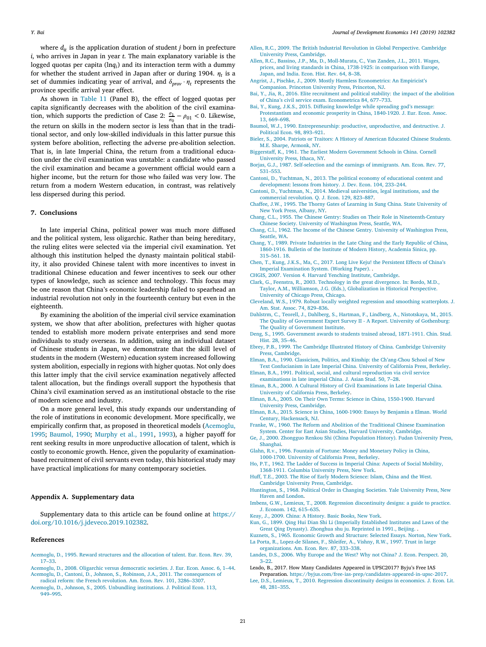where  $d_i$  is the application duration of student *j* born in prefecture *i*, who arrives in Japan in year *t*. The main explanatory variable is the logged quotas per capita (ln*q<sup>i</sup>* ) and its interaction term with a dummy for whether the student arrived in Japan after or during 1904.  $\eta_t$  is a set of dummies indicating year of arrival, and  $\delta_{\text{prov}} \cdot \eta_t$  represents the province specific arrival year effect.

As shown in Table 11 (Panel B), the effect of logged quotas per capita significantly decreases with the abolition of the civil examination, which supports the prediction of Case 2:  $\frac{\sigma_1}{\sigma_0} - \rho_{01} < 0$ . Likewise, the return on skills in the modern sector is less than that in the traditional sector, and only low-skilled individuals in this latter pursue this system before abolition, reflecting the adverse pre-abolition selection. That is, in late Imperial China, the return from a traditional education under the civil examination was unstable: a candidate who passed the civil examination and became a government official would earn a higher income, but the return for those who failed was very low. The return from a modern Western education, in contrast, was relatively less dispersed during this period.

#### **7. Conclusions**

In late imperial China, political power was much more diffused and the political system, less oligarchic. Rather than being hereditary, the ruling elites were selected via the imperial civil examination. Yet although this institution helped the dynasty maintain political stability, it also provided Chinese talent with more incentives to invest in traditional Chinese education and fewer incentives to seek our other types of knowledge, such as science and technology. This focus may be one reason that China's economic leadership failed to spearhead an industrial revolution not only in the fourteenth century but even in the eighteenth.

By examining the abolition of the imperial civil service examination system, we show that after abolition, prefectures with higher quotas tended to establish more modern private enterprises and send more individuals to study overseas. In addition, using an individual dataset of Chinese students in Japan, we demonstrate that the skill level of students in the modern (Western) education system increased following system abolition, especially in regions with higher quotas. Not only does this latter imply that the civil service examination negatively affected talent allocation, but the findings overall support the hypothesis that China's civil examination served as an institutional obstacle to the rise of modern science and industry.

On a more general level, this study expands our understanding of the role of institutions in economic development. More specifically, we empirically confirm that, as proposed in theoretical models (Acemoglu, 1995; Baumol, 1990; Murphy et al., 1991, 1993), a higher payoff for rent seeking results in more unproductive allocation of talent, which is costly to economic growth. Hence, given the popularity of examinationbased recruitment of civil servants even today, this historical study may have practical implications for many contemporary societies.

### **Appendix A. Supplementary data**

Supplementary data to this article can be found online at https:// doi.org/10.1016/j.jdeveco.2019.102382.

#### **References**

- Acemoglu, D., 1995. Reward structures and the allocation of talent. Eur. Econ. Rev. 39, 17–33.
- Acemoglu, D., 2008. Oligarchic versus democratic societies. J. Eur. Econ. Assoc. 6, 1–44. Acemoglu, D., Cantoni, D., Johnson, S., Robinson, J.A., 2011. The consequences of radical reform: the French revolution. Am. Econ. Rev. 101, 3286–3307.
- Acemoglu, D., Johnson, S., 2005. Unbundling institutions. J. Political Econ. 113, 949–995.
- Allen, R.C., 2009. The British Industrial Revolution in Global Perspective. Cambridge University Press, Cambridge.
- Allen, R.C., Bassino, J.P., Ma, D., Moll-Murata, C., Van Zanden, J.L., 2011. Wages, prices, and living standards in China, 1738-1925: in comparison with Europe, Japan, and India. Econ. Hist. Rev. 64, 8–38.
- Angrist, J., Pischke, J., 2009. Mostly Harmless Econometrics: An Empiricist's Companion. Princeton University Press, Princeton, NJ.
- Bai, Y., Jia, R., 2016. Elite recruitment and political stability: the impact of the abolition of China's civil service exam. Econometrica 84, 677–733.
- Bai, Y., Kung, J.K.S., 2015. Diffusing knowledge while spreading god's message: Protestantism and economic prosperity in China, 1840-1920. J. Eur. Econ. Assoc. 13, 669–698.
- Baumol, W.J., 1990. Entrepreneurship: productive, unproductive, and destructive. J. Political Econ. 98, 893–921.
- Bieler, S., 2004. Patriots or Traitors: A History of American Educated Chinese Students. M.E. Sharpe, Armonk, NY.
- Biggerstaff, K., 1961. The Earliest Modern Government Schools in China. Cornell University Press, Ithaca, NY.
- Borjas, G.J., 1987. Self-selection and the earnings of immigrants. Am. Econ. Rev. 77, 531–553.
- Cantoni, D., Yuchtman, N., 2013. The political economy of educational content and development: lessons from history. J. Dev. Econ. 104, 233–244.
- Cantoni, D., Yuchtman, N., 2014. Medieval universities, legal institutions, and the commercial revolution. Q. J. Econ. 129, 823–887.
- Chaffee, J.W., 1995. The Thorny Gates of Learning in Sung China. State University of New York Press, Albany, NY.
- Chang, C.L., 1955. The Chinese Gentry: Studies on Their Role in Nineteenth-Century Chinese Society. University of Washington Press, Seattle, WA.
- Chang, C.l., 1962. The Income of the Chinese Gentry. University of Washington Press, Seattle, WA.
- Chang, Y., 1989. Private Industries in the Late Ching and the Early Republic of China, 1860-1916. Bulletin of the Institute of Modern History, Academia Sinica, pp. 315–561. 18.
- Chen, T., Kung, J.K.S., Ma, C., 2017. Long Live Keju! the Persistent Effects of China's Imperial Examination System. (Working Paper). .
- CHGIS, 2007. Version 4. Harvard Yenching Institute, Cambridge.
- Clark, G., Feenstra, R., 2003. Technology in the great divergence. In: Bordo, M.D., Taylor, A.M., Williamson, J.G. (Eds.), Globalization in Historical Perspective. University of Chicago Press, Chicago.
- Cleveland, W.S., 1979. Robust locally weighted regression and smoothing scatterplots. J. Am. Stat. Assoc. 74, 829–836.
- Dahlstrm, C., Teorell, J., Dahlberg, S., Hartman, F., Lindberg, A., Nistotskaya, M., 2015. The Quality of Government Expert Survey II - A Report. University of Gothenburg: The Quality of Government Institute.
- Deng, S., 1995. Government awards to students trained abroad, 1871-1911. Chin. Stud. Hist. 28, 35–46.
- Ebrey, P.B., 1999. The Cambridge Illustrated History of China. Cambridge University Press, Cambridge.
- Elman, B.A., 1990. Classicism, Politics, and Kinship: the Ch'ang-Chou School of New Text Confucianism in Late Imperial China. University of California Press, Berkeley.
- Elman, B.A., 1991. Political, social, and cultural reproduction via civil service examinations in late imperial China. J. Asian Stud. 50, 7–28.
- Elman, B.A., 2000. A Cultural History of Civil Examinations in Late Imperial China. University of California Press, Berkeley.
- Elman, B.A., 2005. On Their Own Terms: Science in China, 1550-1900. Harvard University Press, Cambridge.
- Elman, B.A., 2015. Science in China, 1600-1900: Essays by Benjamin a Elman. World Century, Hackensack, NJ.
- Franke, W., 1960. The Reform and Abolition of the Traditional Chinese Examination System. Center for East Asian Studies, Harvard University, Cambridge.
- Ge, J., 2000. Zhongguo Renkou Shi (China Population History). Fudan University Press, Shanghai.
- Glahn, R.v., 1996. Fountain of Fortune: Money and Monetary Policy in China, 1000-1700. University of California Press, Berkeley.
- Ho, P.T., 1962. The Ladder of Success in Imperial China: Aspects of Social Mobility, 1368-1911. Columbia University Press, New York.
- Huff, T.E., 2003. The Rise of Early Modern Science: Islam, China and the West. Cambridge University Press, Cambridge.
- Huntington, S., 1968. Political Order in Changing Societies. Yale University Press, New Haven and London.
- Imbens, G.W., Lemieux, T., 2008. Regression discontinuity designs: a guide to practice. J. Econom. 142, 615–635.
- Keay, J., 2009. China: A History. Basic Books, New York.
- Kun, G., 1899. Qing Hui Dian Shi Li (Imperially Established Institutes and Laws of the Great Qing Dynasty). Zhonghua shu ju. Reprinted in 1991., Beijing. .
- Kuznets, S., 1965. Economic Growth and Structure: Selected Essays. Norton, New York. La Porta, R., Lopez-de Silanes, F., Shleifer, A., Vishny, R.W., 1997. Trust in large organizations. Am. Econ. Rev. 87, 333–338.
- Landes, D.S., 2006. Why Europe and the West? Why not China? J. Econ. Perspect. 20, 3–22.
- Leado, B., 2017. How Many Candidates Appeared in UPSC2017? Byju's Free IAS
- Preparation. https://byjus.com/free-ias-prep/candidates-appeared-in-upsc-2017. Lee, D.S., Lemieux, T., 2010. Regression discontinuity designs in economics. J. Econ. Lit.
- 48, 281–355.